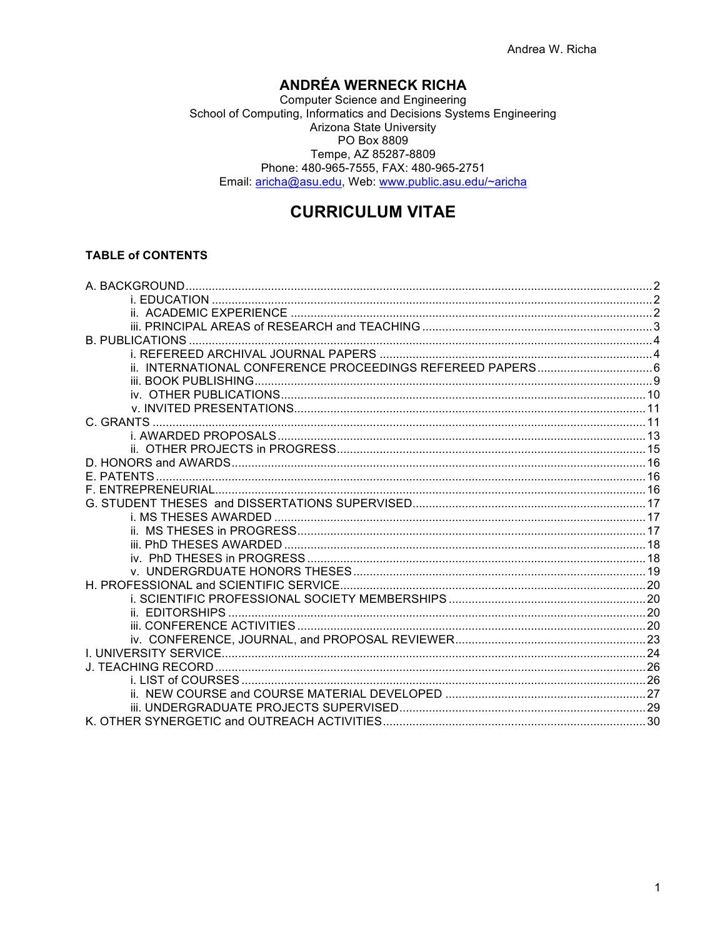# **ANDRÉA WERNECK RICHA**

School of Computing, Informatics and Decisions Systems Engineering<br>School of Computing, Informatics and Decisions Systems Engineering Arizona State University PO Box 8809 Tempe, AZ 85287-8809 Phone: 480-965-7555, FAX: 480-965-2751 Email: aricha@asu.edu, Web: www.public.asu.edu/~aricha

# **CURRICULUM VITAE**

## **TABLE of CONTENTS**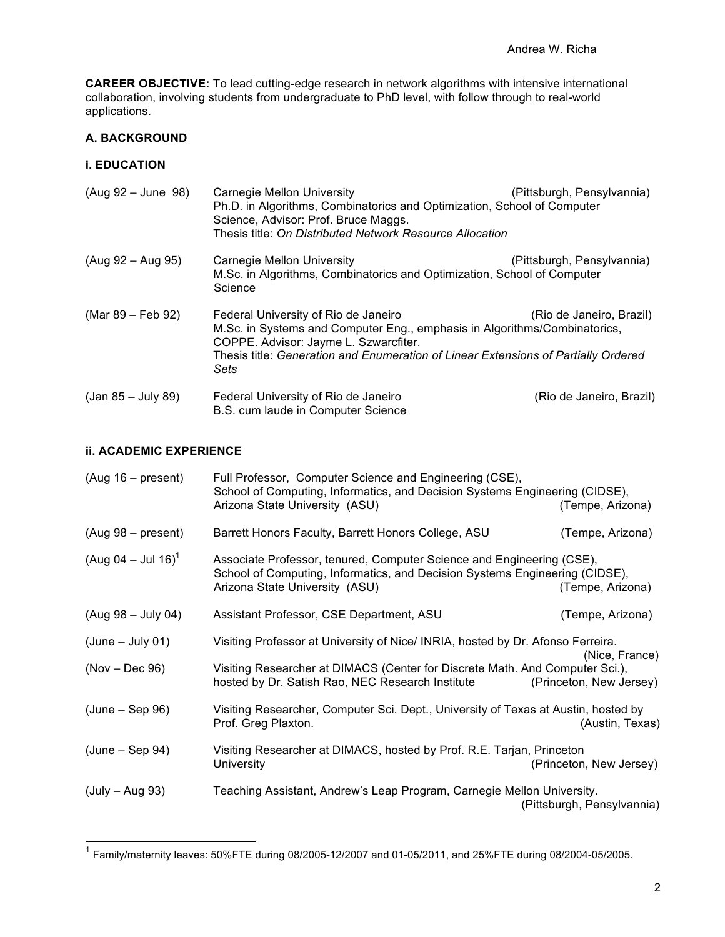**CAREER OBJECTIVE:** To lead cutting-edge research in network algorithms with intensive international collaboration, involving students from undergraduate to PhD level, with follow through to real-world applications.

## **A. BACKGROUND**

## **i. EDUCATION**

| $(Auq 92 - June 98)$ | Carnegie Mellon University<br>Ph.D. in Algorithms, Combinatorics and Optimization, School of Computer<br>Science, Advisor: Prof. Bruce Maggs.<br>Thesis title: On Distributed Network Resource Allocation                                                | (Pittsburgh, Pensylvannia) |
|----------------------|----------------------------------------------------------------------------------------------------------------------------------------------------------------------------------------------------------------------------------------------------------|----------------------------|
| $(Aug 92 - Aug 95)$  | Carnegie Mellon University<br>M.Sc. in Algorithms, Combinatorics and Optimization, School of Computer<br>Science                                                                                                                                         | (Pittsburgh, Pensylvannia) |
| (Mar 89 – Feb 92)    | Federal University of Rio de Janeiro<br>M.Sc. in Systems and Computer Eng., emphasis in Algorithms/Combinatorics,<br>COPPE. Advisor: Jayme L. Szwarcfiter.<br>Thesis title: Generation and Enumeration of Linear Extensions of Partially Ordered<br>Sets | (Rio de Janeiro, Brazil)   |
| (Jan 85 – July 89)   | Federal University of Rio de Janeiro<br>B.S. cum laude in Computer Science                                                                                                                                                                               | (Rio de Janeiro, Brazil)   |

## **ii. ACADEMIC EXPERIENCE**

| $(Aug 16 - present)$           | Full Professor, Computer Science and Engineering (CSE),<br>School of Computing, Informatics, and Decision Systems Engineering (CIDSE),<br>Arizona State University (ASU)               | (Tempe, Arizona)           |
|--------------------------------|----------------------------------------------------------------------------------------------------------------------------------------------------------------------------------------|----------------------------|
| $(Aug 98 - present)$           | Barrett Honors Faculty, Barrett Honors College, ASU                                                                                                                                    | (Tempe, Arizona)           |
| (Aug 04 – Jul 16) <sup>1</sup> | Associate Professor, tenured, Computer Science and Engineering (CSE),<br>School of Computing, Informatics, and Decision Systems Engineering (CIDSE),<br>Arizona State University (ASU) | (Tempe, Arizona)           |
| $(Aug 98 - July 04)$           | Assistant Professor, CSE Department, ASU                                                                                                                                               | (Tempe, Arizona)           |
| $(June - July 01)$             | Visiting Professor at University of Nice/ INRIA, hosted by Dr. Afonso Ferreira.                                                                                                        | (Nice, France)             |
| $(Nov - Dec 96)$               | Visiting Researcher at DIMACS (Center for Discrete Math. And Computer Sci.),<br>hosted by Dr. Satish Rao, NEC Research Institute                                                       | (Princeton, New Jersey)    |
| $(June - Sep 96)$              | Visiting Researcher, Computer Sci. Dept., University of Texas at Austin, hosted by<br>Prof. Greg Plaxton.                                                                              | (Austin, Texas)            |
| $(June - Sep 94)$              | Visiting Researcher at DIMACS, hosted by Prof. R.E. Tarjan, Princeton<br>University                                                                                                    | (Princeton, New Jersey)    |
| $(July - Aug 93)$              | Teaching Assistant, Andrew's Leap Program, Carnegie Mellon University.                                                                                                                 | (Pittsburgh, Pensylvannia) |

 <sup>1</sup> Family/maternity leaves: 50%FTE during 08/2005-12/2007 and 01-05/2011, and 25%FTE during 08/2004-05/2005.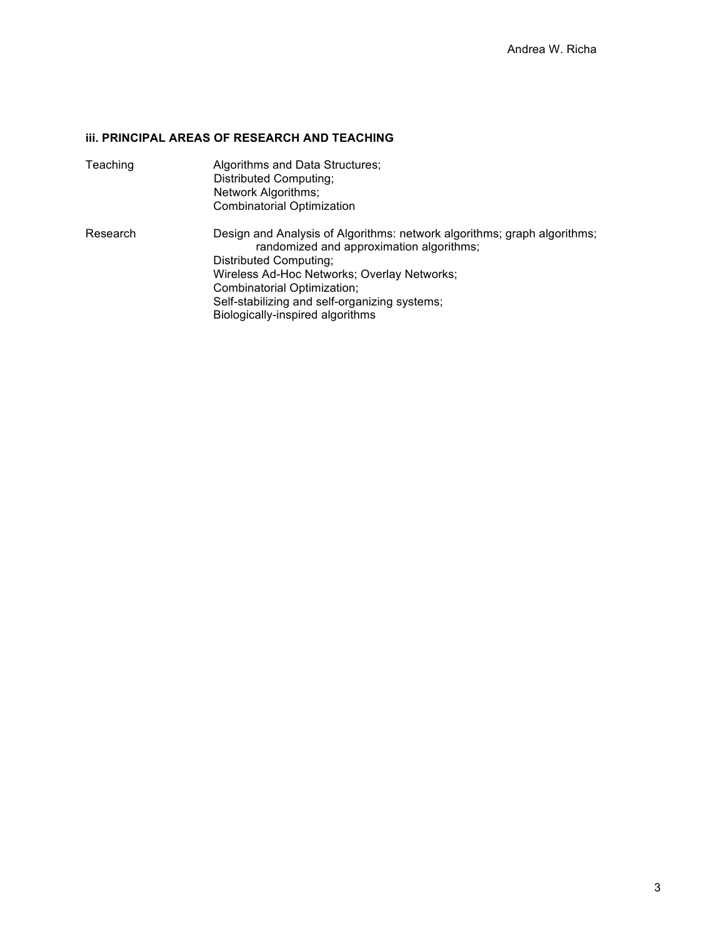# **iii. PRINCIPAL AREAS OF RESEARCH AND TEACHING**

| Teaching | Algorithms and Data Structures;<br>Distributed Computing;<br>Network Algorithms;<br><b>Combinatorial Optimization</b>                                                                                                                                                                                             |
|----------|-------------------------------------------------------------------------------------------------------------------------------------------------------------------------------------------------------------------------------------------------------------------------------------------------------------------|
| Research | Design and Analysis of Algorithms: network algorithms; graph algorithms;<br>randomized and approximation algorithms;<br>Distributed Computing;<br>Wireless Ad-Hoc Networks; Overlay Networks;<br>Combinatorial Optimization;<br>Self-stabilizing and self-organizing systems;<br>Biologically-inspired algorithms |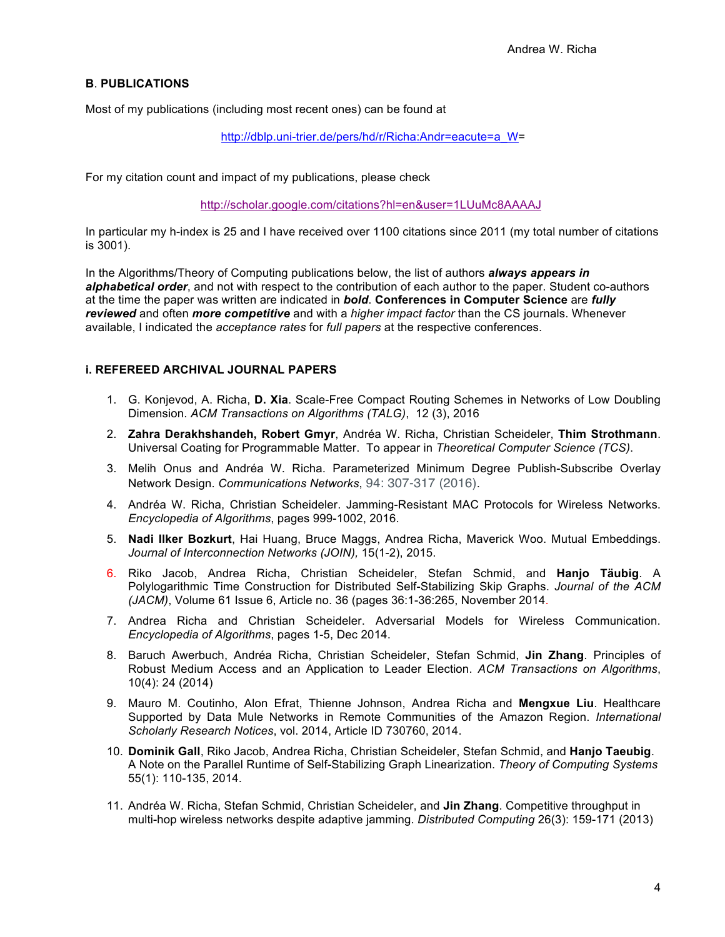## **B**. **PUBLICATIONS**

Most of my publications (including most recent ones) can be found at

http://dblp.uni-trier.de/pers/hd/r/Richa:Andr=eacute=a\_W=

For my citation count and impact of my publications, please check

http://scholar.google.com/citations?hl=en&user=1LUuMc8AAAAJ

In particular my h-index is 25 and I have received over 1100 citations since 2011 (my total number of citations is 3001).

In the Algorithms/Theory of Computing publications below, the list of authors *always appears in alphabetical order*, and not with respect to the contribution of each author to the paper. Student co-authors at the time the paper was written are indicated in *bold*. **Conferences in Computer Science** are *fully reviewed* and often *more competitive* and with a *higher impact factor* than the CS journals. Whenever available, I indicated the *acceptance rates* for *full papers* at the respective conferences.

#### **i. REFEREED ARCHIVAL JOURNAL PAPERS**

- 1. G. Konjevod, A. Richa, **D. Xia**. Scale-Free Compact Routing Schemes in Networks of Low Doubling Dimension. *ACM Transactions on Algorithms (TALG)*, 12 (3), 2016
- 2. **Zahra Derakhshandeh, Robert Gmyr**, Andréa W. Richa, Christian Scheideler, **Thim Strothmann**. Universal Coating for Programmable Matter. To appear in *Theoretical Computer Science (TCS)*.
- 3. Melih Onus and Andréa W. Richa. Parameterized Minimum Degree Publish-Subscribe Overlay Network Design. *Communications Networks*, 94: 307-317 (2016).
- 4. Andréa W. Richa, Christian Scheideler. Jamming-Resistant MAC Protocols for Wireless Networks. *Encyclopedia of Algorithms*, pages 999-1002, 2016.
- 5. **Nadi Ilker Bozkurt**, Hai Huang, Bruce Maggs, Andrea Richa, Maverick Woo. Mutual Embeddings. *Journal of Interconnection Networks (JOIN),* 15(1-2), 2015.
- 6. Riko Jacob, Andrea Richa, Christian Scheideler, Stefan Schmid, and **Hanjo Täubig**. A Polylogarithmic Time Construction for Distributed Self-Stabilizing Skip Graphs. *Journal of the ACM (JACM)*, Volume 61 Issue 6, Article no. 36 (pages 36:1-36:265, November 2014.
- 7. Andrea Richa and Christian Scheideler. Adversarial Models for Wireless Communication. *Encyclopedia of Algorithms*, pages 1-5, Dec 2014.
- 8. Baruch Awerbuch, Andréa Richa, Christian Scheideler, Stefan Schmid, **Jin Zhang**. Principles of Robust Medium Access and an Application to Leader Election. *ACM Transactions on Algorithms*, 10(4): 24 (2014)
- 9. Mauro M. Coutinho, Alon Efrat, Thienne Johnson, Andrea Richa and **Mengxue Liu**. Healthcare Supported by Data Mule Networks in Remote Communities of the Amazon Region. *International Scholarly Research Notices*, vol. 2014, Article ID 730760, 2014.
- 10. **Dominik Gall**, Riko Jacob, Andrea Richa, Christian Scheideler, Stefan Schmid, and **Hanjo Taeubig**. A Note on the Parallel Runtime of Self-Stabilizing Graph Linearization. *Theory of Computing Systems* 55(1): 110-135, 2014.
- 11. Andréa W. Richa, Stefan Schmid, Christian Scheideler, and **Jin Zhang**. Competitive throughput in multi-hop wireless networks despite adaptive jamming. *Distributed Computing* 26(3): 159-171 (2013)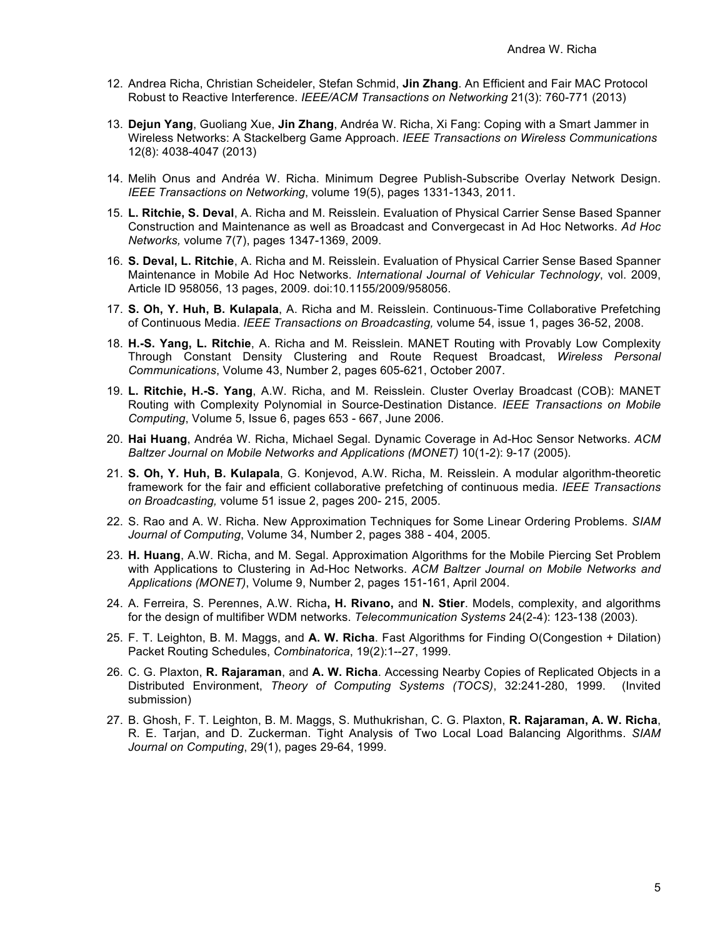- 12. Andrea Richa, Christian Scheideler, Stefan Schmid, **Jin Zhang**. An Efficient and Fair MAC Protocol Robust to Reactive Interference. *IEEE/ACM Transactions on Networking* 21(3): 760-771 (2013)
- 13. **Dejun Yang**, Guoliang Xue, **Jin Zhang**, Andréa W. Richa, Xi Fang: Coping with a Smart Jammer in Wireless Networks: A Stackelberg Game Approach. *IEEE Transactions on Wireless Communications*  12(8): 4038-4047 (2013)
- 14. Melih Onus and Andréa W. Richa. Minimum Degree Publish-Subscribe Overlay Network Design. *IEEE Transactions on Networking*, volume 19(5), pages 1331-1343, 2011.
- 15. **L. Ritchie, S. Deval**, A. Richa and M. Reisslein. Evaluation of Physical Carrier Sense Based Spanner Construction and Maintenance as well as Broadcast and Convergecast in Ad Hoc Networks. *Ad Hoc Networks,* volume 7(7), pages 1347-1369, 2009.
- 16. **S. Deval, L. Ritchie**, A. Richa and M. Reisslein. Evaluation of Physical Carrier Sense Based Spanner Maintenance in Mobile Ad Hoc Networks. *International Journal of Vehicular Technology*, vol. 2009, Article ID 958056, 13 pages, 2009. doi:10.1155/2009/958056.
- 17. **S. Oh, Y. Huh, B. Kulapala**, A. Richa and M. Reisslein. Continuous-Time Collaborative Prefetching of Continuous Media. *IEEE Transactions on Broadcasting,* volume 54, issue 1, pages 36-52, 2008.
- 18. **H.-S. Yang, L. Ritchie**, A. Richa and M. Reisslein. MANET Routing with Provably Low Complexity Through Constant Density Clustering and Route Request Broadcast, *Wireless Personal Communications*, Volume 43, Number 2, pages 605-621, October 2007.
- 19. **L. Ritchie, H.-S. Yang**, A.W. Richa, and M. Reisslein. Cluster Overlay Broadcast (COB): MANET Routing with Complexity Polynomial in Source-Destination Distance. *IEEE Transactions on Mobile Computing*, Volume 5, Issue 6, pages 653 - 667, June 2006.
- 20. **Hai Huang**, Andréa W. Richa, Michael Segal. Dynamic Coverage in Ad-Hoc Sensor Networks. *ACM Baltzer Journal on Mobile Networks and Applications (MONET)* 10(1-2): 9-17 (2005).
- 21. **S. Oh, Y. Huh, B. Kulapala**, G. Konjevod, A.W. Richa, M. Reisslein. A modular algorithm-theoretic framework for the fair and efficient collaborative prefetching of continuous media. *IEEE Transactions on Broadcasting,* volume 51 issue 2, pages 200- 215, 2005.
- 22. S. Rao and A. W. Richa. New Approximation Techniques for Some Linear Ordering Problems. *SIAM Journal of Computing*, Volume 34, Number 2, pages 388 - 404, 2005.
- 23. **H. Huang**, A.W. Richa, and M. Segal. Approximation Algorithms for the Mobile Piercing Set Problem with Applications to Clustering in Ad-Hoc Networks. *ACM Baltzer Journal on Mobile Networks and Applications (MONET)*, Volume 9, Number 2, pages 151-161, April 2004.
- 24. A. Ferreira, S. Perennes, A.W. Richa**, H. Rivano,** and **N. Stier**. Models, complexity, and algorithms for the design of multifiber WDM networks. *Telecommunication Systems* 24(2-4): 123-138 (2003).
- 25. F. T. Leighton, B. M. Maggs, and **A. W. Richa**. Fast Algorithms for Finding O(Congestion + Dilation) Packet Routing Schedules, *Combinatorica*, 19(2):1--27, 1999.
- 26. C. G. Plaxton, **R. Rajaraman**, and **A. W. Richa**. Accessing Nearby Copies of Replicated Objects in a Distributed Environment, *Theory of Computing Systems (TOCS)*, 32:241-280, 1999. (Invited submission)
- 27. B. Ghosh, F. T. Leighton, B. M. Maggs, S. Muthukrishan, C. G. Plaxton, **R. Rajaraman, A. W. Richa**, R. E. Tarjan, and D. Zuckerman. Tight Analysis of Two Local Load Balancing Algorithms. *SIAM Journal on Computing*, 29(1), pages 29-64, 1999.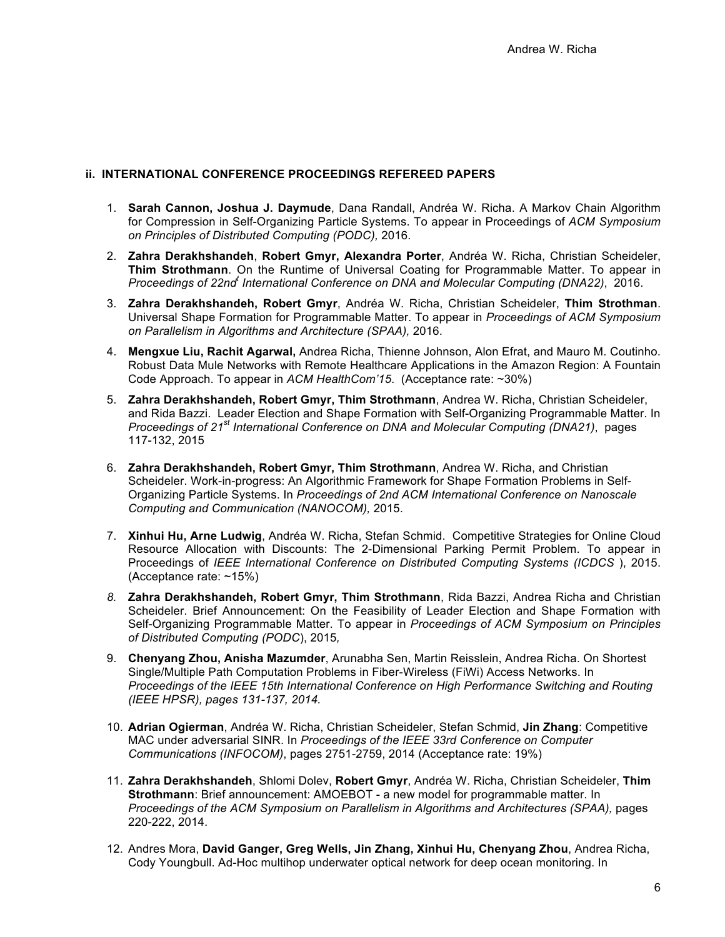### **ii. INTERNATIONAL CONFERENCE PROCEEDINGS REFEREED PAPERS**

- 1. **Sarah Cannon, Joshua J. Daymude**, Dana Randall, Andréa W. Richa. A Markov Chain Algorithm for Compression in Self-Organizing Particle Systems. To appear in Proceedings of *ACM Symposium on Principles of Distributed Computing (PODC),* 2016.
- 2. **Zahra Derakhshandeh**, **Robert Gmyr, Alexandra Porter**, Andréa W. Richa, Christian Scheideler, **Thim Strothmann**. On the Runtime of Universal Coating for Programmable Matter. To appear in *Proceedings of 22nd<sup>t</sup> International Conference on DNA and Molecular Computing (DNA22)*, 2016.
- 3. **Zahra Derakhshandeh, Robert Gmyr**, Andréa W. Richa, Christian Scheideler, **Thim Strothman**. Universal Shape Formation for Programmable Matter. To appear in *Proceedings of ACM Symposium on Parallelism in Algorithms and Architecture (SPAA),* 2016.
- 4. **Mengxue Liu, Rachit Agarwal,** Andrea Richa, Thienne Johnson, Alon Efrat, and Mauro M. Coutinho. Robust Data Mule Networks with Remote Healthcare Applications in the Amazon Region: A Fountain Code Approach. To appear in *ACM HealthCom'15*. (Acceptance rate: ~30%)
- 5. **Zahra Derakhshandeh, Robert Gmyr, Thim Strothmann**, Andrea W. Richa, Christian Scheideler, and Rida Bazzi. Leader Election and Shape Formation with Self-Organizing Programmable Matter. In *Proceedings of 21st International Conference on DNA and Molecular Computing (DNA21)*, pages 117-132, 2015
- 6. **Zahra Derakhshandeh, Robert Gmyr, Thim Strothmann**, Andrea W. Richa, and Christian Scheideler. Work-in-progress: An Algorithmic Framework for Shape Formation Problems in Self-Organizing Particle Systems. In *Proceedings of 2nd ACM International Conference on Nanoscale Computing and Communication (NANOCOM),* 2015.
- 7. **Xinhui Hu, Arne Ludwig**, Andréa W. Richa, Stefan Schmid. Competitive Strategies for Online Cloud Resource Allocation with Discounts: The 2-Dimensional Parking Permit Problem. To appear in Proceedings of *IEEE International Conference on Distributed Computing Systems (ICDCS* ), 2015. (Acceptance rate: ~15%)
- *8.* **Zahra Derakhshandeh, Robert Gmyr, Thim Strothmann**, Rida Bazzi, Andrea Richa and Christian Scheideler. Brief Announcement: On the Feasibility of Leader Election and Shape Formation with Self-Organizing Programmable Matter. To appear in *Proceedings of ACM Symposium on Principles of Distributed Computing (PODC*), 2015*,*
- 9. **Chenyang Zhou, Anisha Mazumder**, Arunabha Sen, Martin Reisslein, Andrea Richa. On Shortest Single/Multiple Path Computation Problems in Fiber-Wireless (FiWi) Access Networks. In *Proceedings of the IEEE 15th International Conference on High Performance Switching and Routing (IEEE HPSR), pages 131-137, 2014.*
- 10. **Adrian Ogierman**, Andréa W. Richa, Christian Scheideler, Stefan Schmid, **Jin Zhang**: Competitive MAC under adversarial SINR. In *Proceedings of the IEEE 33rd Conference on Computer Communications (INFOCOM)*, pages 2751-2759, 2014 (Acceptance rate: 19%)
- 11. **Zahra Derakhshandeh**, Shlomi Dolev, **Robert Gmyr**, Andréa W. Richa, Christian Scheideler, **Thim Strothmann**: Brief announcement: AMOEBOT - a new model for programmable matter. In *Proceedings of the ACM Symposium on Parallelism in Algorithms and Architectures (SPAA),* pages 220-222, 2014.
- 12. Andres Mora, **David Ganger, Greg Wells, Jin Zhang, Xinhui Hu, Chenyang Zhou**, Andrea Richa, Cody Youngbull. Ad-Hoc multihop underwater optical network for deep ocean monitoring. In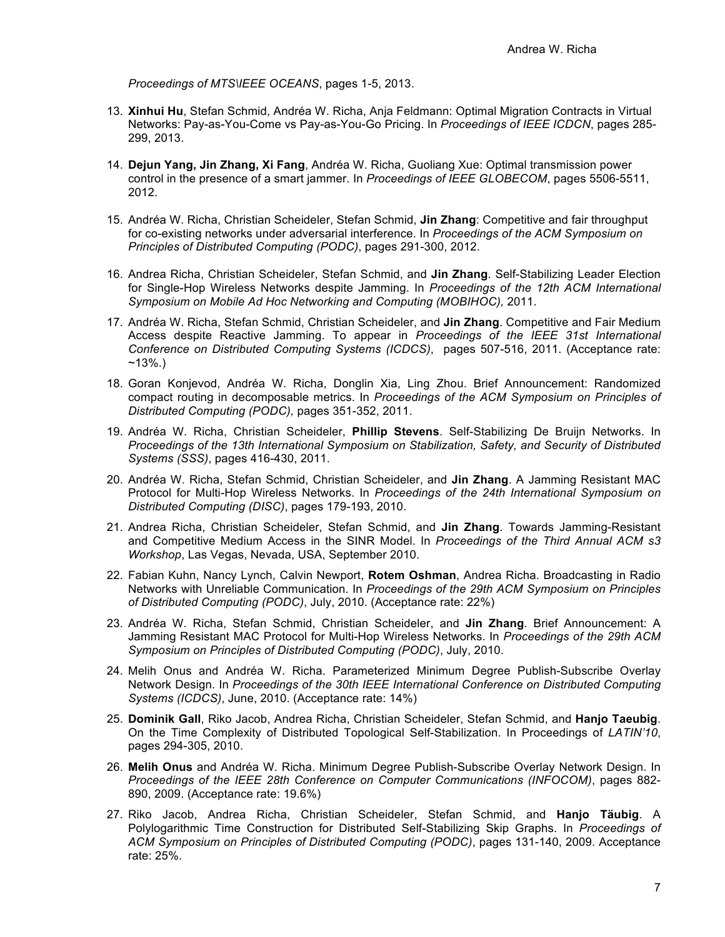*Proceedings of MTS\IEEE OCEANS*, pages 1-5, 2013.

- 13. **Xinhui Hu**, Stefan Schmid, Andréa W. Richa, Anja Feldmann: Optimal Migration Contracts in Virtual Networks: Pay-as-You-Come vs Pay-as-You-Go Pricing. In *Proceedings of IEEE ICDCN*, pages 285- 299, 2013.
- 14. **Dejun Yang, Jin Zhang, Xi Fang**, Andréa W. Richa, Guoliang Xue: Optimal transmission power control in the presence of a smart jammer. In *Proceedings of IEEE GLOBECOM*, pages 5506-5511, 2012.
- 15. Andréa W. Richa, Christian Scheideler, Stefan Schmid, **Jin Zhang**: Competitive and fair throughput for co-existing networks under adversarial interference. In *Proceedings of the ACM Symposium on Principles of Distributed Computing (PODC)*, pages 291-300, 2012.
- 16. Andrea Richa, Christian Scheideler, Stefan Schmid, and **Jin Zhang**. Self-Stabilizing Leader Election for Single-Hop Wireless Networks despite Jamming. In *Proceedings of the 12th ACM International Symposium on Mobile Ad Hoc Networking and Computing (MOBIHOC),* 2011.
- 17. Andréa W. Richa, Stefan Schmid, Christian Scheideler, and **Jin Zhang**. Competitive and Fair Medium Access despite Reactive Jamming. To appear in *Proceedings of the IEEE 31st International Conference on Distributed Computing Systems (ICDCS)*, pages 507-516, 2011. (Acceptance rate:  $~13\%$ .
- 18. Goran Konjevod, Andréa W. Richa, Donglin Xia, Ling Zhou. Brief Announcement: Randomized compact routing in decomposable metrics. In *Proceedings of the ACM Symposium on Principles of Distributed Computing (PODC),* pages 351-352, 2011.
- 19. Andréa W. Richa, Christian Scheideler, **Phillip Stevens**. Self-Stabilizing De Bruijn Networks. In *Proceedings of the 13th International Symposium on Stabilization, Safety, and Security of Distributed Systems (SSS)*, pages 416-430, 2011.
- 20. Andréa W. Richa, Stefan Schmid, Christian Scheideler, and **Jin Zhang**. A Jamming Resistant MAC Protocol for Multi-Hop Wireless Networks. In *Proceedings of the 24th International Symposium on Distributed Computing (DISC)*, pages 179-193, 2010.
- 21. Andrea Richa, Christian Scheideler, Stefan Schmid, and **Jin Zhang**. Towards Jamming-Resistant and Competitive Medium Access in the SINR Model. In *Proceedings of the Third Annual ACM s3 Workshop*, Las Vegas, Nevada, USA, September 2010.
- 22. Fabian Kuhn, Nancy Lynch, Calvin Newport, **Rotem Oshman**, Andrea Richa. Broadcasting in Radio Networks with Unreliable Communication. In *Proceedings of the 29th ACM Symposium on Principles of Distributed Computing (PODC)*, July, 2010. (Acceptance rate: 22%)
- 23. Andréa W. Richa, Stefan Schmid, Christian Scheideler, and **Jin Zhang**. Brief Announcement: A Jamming Resistant MAC Protocol for Multi-Hop Wireless Networks. In *Proceedings of the 29th ACM Symposium on Principles of Distributed Computing (PODC)*, July, 2010.
- 24. Melih Onus and Andréa W. Richa. Parameterized Minimum Degree Publish-Subscribe Overlay Network Design. In *Proceedings of the 30th IEEE International Conference on Distributed Computing Systems (ICDCS)*, June, 2010. (Acceptance rate: 14%)
- 25. **Dominik Gall**, Riko Jacob, Andrea Richa, Christian Scheideler, Stefan Schmid, and **Hanjo Taeubig**. On the Time Complexity of Distributed Topological Self-Stabilization. In Proceedings of *LATIN'10*, pages 294-305, 2010.
- 26. **Melih Onus** and Andréa W. Richa. Minimum Degree Publish-Subscribe Overlay Network Design. In *Proceedings of the IEEE 28th Conference on Computer Communications (INFOCOM)*, pages 882- 890, 2009. (Acceptance rate: 19.6%)
- 27. Riko Jacob, Andrea Richa, Christian Scheideler, Stefan Schmid, and **Hanjo Täubig**. A Polylogarithmic Time Construction for Distributed Self-Stabilizing Skip Graphs. In *Proceedings of ACM Symposium on Principles of Distributed Computing (PODC)*, pages 131-140, 2009. Acceptance rate: 25%.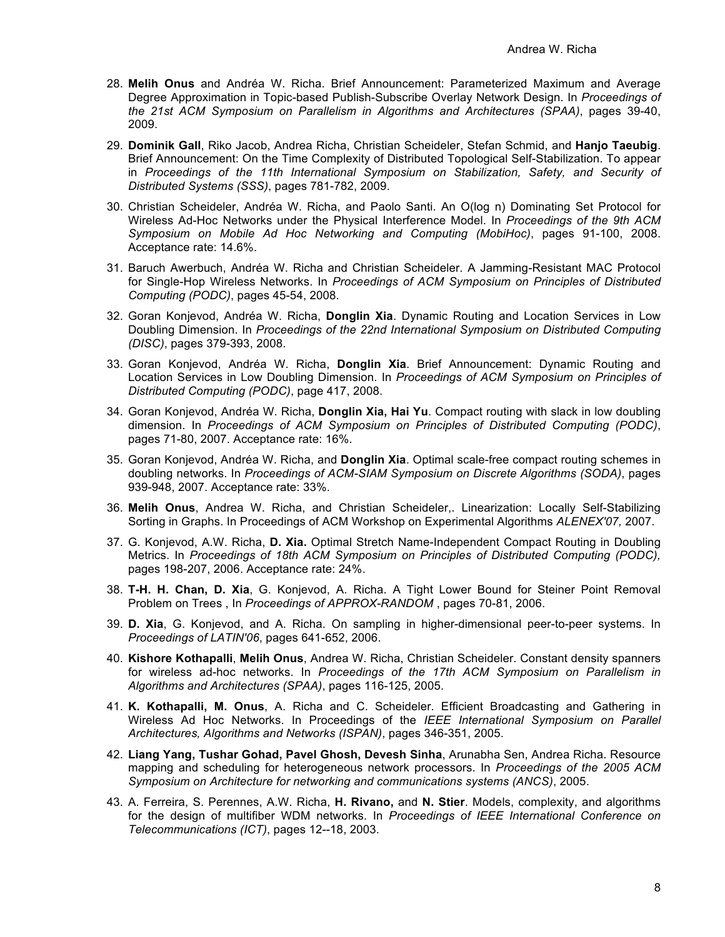- 28. **Melih Onus** and Andréa W. Richa. Brief Announcement: Parameterized Maximum and Average Degree Approximation in Topic-based Publish-Subscribe Overlay Network Design. In *Proceedings of the 21st ACM Symposium on Parallelism in Algorithms and Architectures (SPAA)*, pages 39-40, 2009.
- 29. **Dominik Gall**, Riko Jacob, Andrea Richa, Christian Scheideler, Stefan Schmid, and **Hanjo Taeubig**. Brief Announcement: On the Time Complexity of Distributed Topological Self-Stabilization. To appear in *Proceedings of the 11th International Symposium on Stabilization, Safety, and Security of Distributed Systems (SSS)*, pages 781-782, 2009.
- 30. Christian Scheideler, Andréa W. Richa, and Paolo Santi. An O(log n) Dominating Set Protocol for Wireless Ad-Hoc Networks under the Physical Interference Model. In *Proceedings of the 9th ACM Symposium on Mobile Ad Hoc Networking and Computing (MobiHoc)*, pages 91-100, 2008. Acceptance rate: 14.6%.
- 31. Baruch Awerbuch, Andréa W. Richa and Christian Scheideler. A Jamming-Resistant MAC Protocol for Single-Hop Wireless Networks. In *Proceedings of ACM Symposium on Principles of Distributed Computing (PODC)*, pages 45-54, 2008.
- 32. Goran Konjevod, Andréa W. Richa, **Donglin Xia**. Dynamic Routing and Location Services in Low Doubling Dimension. In *Proceedings of the 22nd International Symposium on Distributed Computing (DISC)*, pages 379-393, 2008.
- 33. Goran Konjevod, Andréa W. Richa, **Donglin Xia**. Brief Announcement: Dynamic Routing and Location Services in Low Doubling Dimension. In *Proceedings of ACM Symposium on Principles of Distributed Computing (PODC)*, page 417, 2008.
- 34. Goran Konjevod, Andréa W. Richa, **Donglin Xia, Hai Yu**. Compact routing with slack in low doubling dimension. In *Proceedings of ACM Symposium on Principles of Distributed Computing (PODC)*, pages 71-80, 2007. Acceptance rate: 16%.
- 35. Goran Konjevod, Andréa W. Richa, and **Donglin Xia**. Optimal scale-free compact routing schemes in doubling networks. In *Proceedings of ACM-SIAM Symposium on Discrete Algorithms (SODA)*, pages 939-948, 2007. Acceptance rate: 33%.
- 36. **Melih Onus**, Andrea W. Richa, and Christian Scheideler,. Linearization: Locally Self-Stabilizing Sorting in Graphs. In Proceedings of ACM Workshop on Experimental Algorithms *ALENEX'07,* 2007.
- 37. G. Konjevod, A.W. Richa, **D. Xia.** Optimal Stretch Name-Independent Compact Routing in Doubling Metrics. In *Proceedings of 18th ACM Symposium on Principles of Distributed Computing (PODC),* pages 198-207, 2006. Acceptance rate: 24%.
- 38. **T-H. H. Chan, D. Xia**, G. Konjevod, A. Richa. A Tight Lower Bound for Steiner Point Removal Problem on Trees , In *Proceedings of APPROX-RANDOM* , pages 70-81, 2006.
- 39. **D. Xia**, G. Konjevod, and A. Richa. On sampling in higher-dimensional peer-to-peer systems. In *Proceedings of LATIN'06*, pages 641-652, 2006.
- 40. **Kishore Kothapalli**, **Melih Onus**, Andrea W. Richa, Christian Scheideler. Constant density spanners for wireless ad-hoc networks. In *Proceedings of the 17th ACM Symposium on Parallelism in Algorithms and Architectures (SPAA)*, pages 116-125, 2005.
- 41. **K. Kothapalli, M. Onus**, A. Richa and C. Scheideler. Efficient Broadcasting and Gathering in Wireless Ad Hoc Networks. In Proceedings of the *IEEE International Symposium on Parallel Architectures, Algorithms and Networks (ISPAN)*, pages 346-351, 2005.
- 42. **Liang Yang, Tushar Gohad, Pavel Ghosh, Devesh Sinha**, Arunabha Sen, Andrea Richa. Resource mapping and scheduling for heterogeneous network processors. In *Proceedings of the 2005 ACM Symposium on Architecture for networking and communications systems (ANCS)*, 2005.
- 43. A. Ferreira, S. Perennes, A.W. Richa, **H. Rivano,** and **N. Stier**. Models, complexity, and algorithms for the design of multifiber WDM networks. In *Proceedings of IEEE International Conference on Telecommunications (ICT)*, pages 12--18, 2003.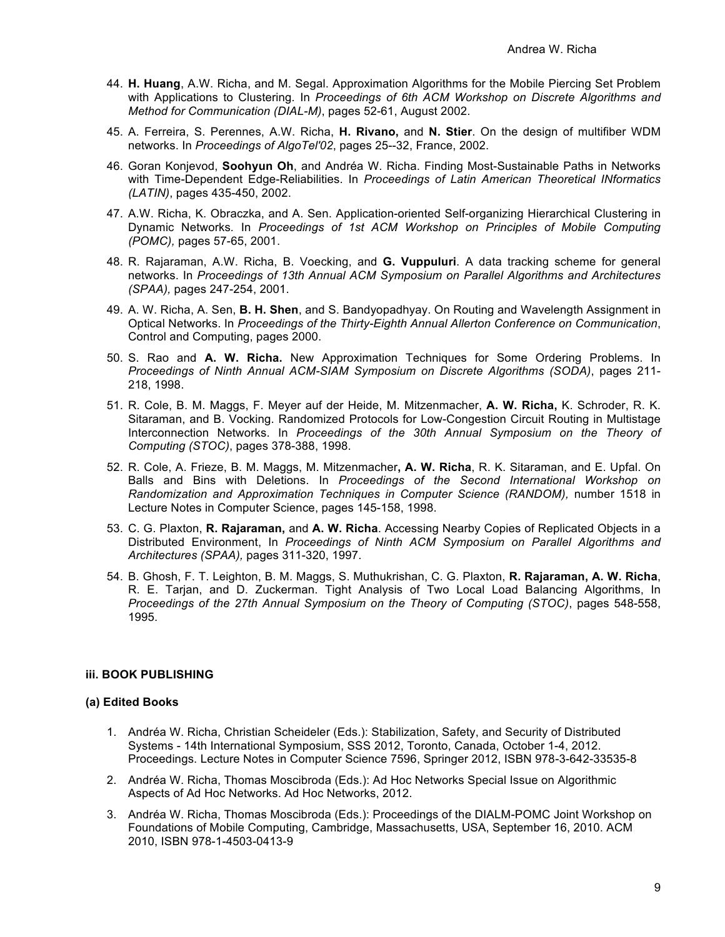- 44. **H. Huang**, A.W. Richa, and M. Segal. Approximation Algorithms for the Mobile Piercing Set Problem with Applications to Clustering*.* In *Proceedings of 6th ACM Workshop on Discrete Algorithms and Method for Communication (DIAL-M)*, pages 52-61, August 2002.
- 45. A. Ferreira, S. Perennes, A.W. Richa, **H. Rivano,** and **N. Stier**. On the design of multifiber WDM networks. In *Proceedings of AlgoTel'02*, pages 25--32, France, 2002.
- 46. Goran Konjevod, **Soohyun Oh**, and Andréa W. Richa. Finding Most-Sustainable Paths in Networks with Time-Dependent Edge-Reliabilities. In *Proceedings of Latin American Theoretical INformatics (LATIN)*, pages 435-450, 2002.
- 47. A.W. Richa, K. Obraczka, and A. Sen. Application-oriented Self-organizing Hierarchical Clustering in Dynamic Networks*.* In *Proceedings of 1st ACM Workshop on Principles of Mobile Computing (POMC),* pages 57-65, 2001.
- 48. R. Rajaraman, A.W. Richa, B. Voecking, and **G. Vuppuluri**. A data tracking scheme for general networks. In *Proceedings of 13th Annual ACM Symposium on Parallel Algorithms and Architectures (SPAA),* pages 247-254, 2001.
- 49. A. W. Richa, A. Sen, **B. H. Shen**, and S. Bandyopadhyay. On Routing and Wavelength Assignment in Optical Networks. In *Proceedings of the Thirty-Eighth Annual Allerton Conference on Communication*, Control and Computing, pages 2000.
- 50. S. Rao and **A. W. Richa.** New Approximation Techniques for Some Ordering Problems. In *Proceedings of Ninth Annual ACM-SIAM Symposium on Discrete Algorithms (SODA)*, pages 211- 218, 1998.
- 51. R. Cole, B. M. Maggs, F. Meyer auf der Heide, M. Mitzenmacher, **A. W. Richa,** K. Schroder, R. K. Sitaraman, and B. Vocking. Randomized Protocols for Low-Congestion Circuit Routing in Multistage Interconnection Networks. In *Proceedings of the 30th Annual Symposium on the Theory of Computing (STOC)*, pages 378-388, 1998.
- 52. R. Cole, A. Frieze, B. M. Maggs, M. Mitzenmacher**, A. W. Richa**, R. K. Sitaraman, and E. Upfal. On Balls and Bins with Deletions. In *Proceedings of the Second International Workshop on Randomization and Approximation Techniques in Computer Science (RANDOM),* number 1518 in Lecture Notes in Computer Science, pages 145-158, 1998.
- 53. C. G. Plaxton, **R. Rajaraman,** and **A. W. Richa**. Accessing Nearby Copies of Replicated Objects in a Distributed Environment, In *Proceedings of Ninth ACM Symposium on Parallel Algorithms and Architectures (SPAA),* pages 311-320, 1997.
- 54. B. Ghosh, F. T. Leighton, B. M. Maggs, S. Muthukrishan, C. G. Plaxton, **R. Rajaraman, A. W. Richa**, R. E. Tarjan, and D. Zuckerman. Tight Analysis of Two Local Load Balancing Algorithms, In *Proceedings of the 27th Annual Symposium on the Theory of Computing (STOC)*, pages 548-558, 1995.

## **iii. BOOK PUBLISHING**

#### **(a) Edited Books**

- 1. Andréa W. Richa, Christian Scheideler (Eds.): Stabilization, Safety, and Security of Distributed Systems - 14th International Symposium, SSS 2012, Toronto, Canada, October 1-4, 2012. Proceedings. Lecture Notes in Computer Science 7596, Springer 2012, ISBN 978-3-642-33535-8
- 2. Andréa W. Richa, Thomas Moscibroda (Eds.): Ad Hoc Networks Special Issue on Algorithmic Aspects of Ad Hoc Networks. Ad Hoc Networks, 2012.
- 3. Andréa W. Richa, Thomas Moscibroda (Eds.): Proceedings of the DIALM-POMC Joint Workshop on Foundations of Mobile Computing, Cambridge, Massachusetts, USA, September 16, 2010. ACM 2010, ISBN 978-1-4503-0413-9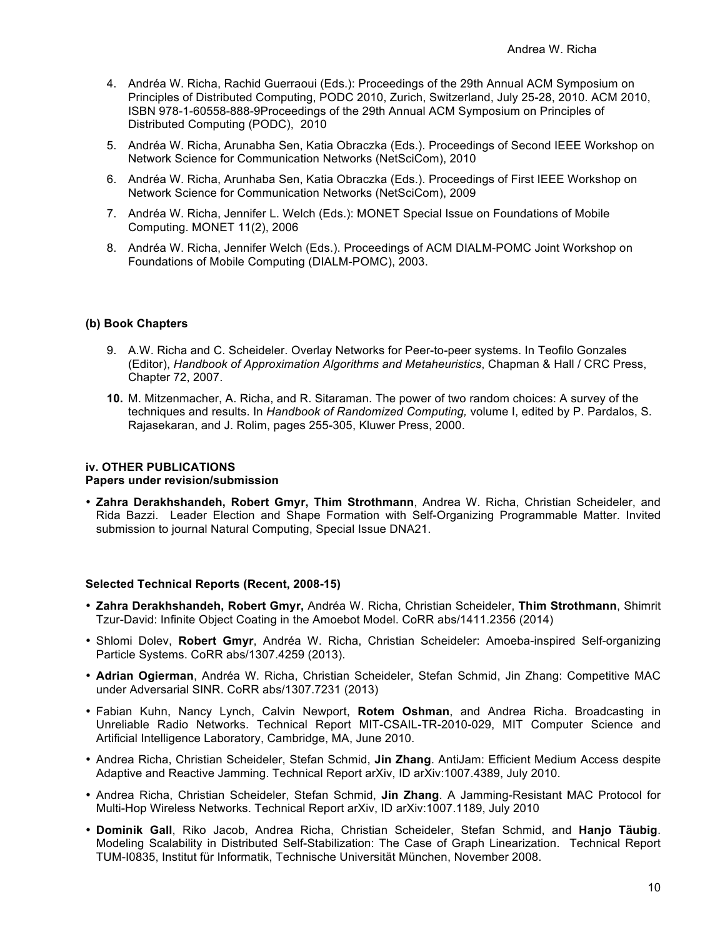- 4. Andréa W. Richa, Rachid Guerraoui (Eds.): Proceedings of the 29th Annual ACM Symposium on Principles of Distributed Computing, PODC 2010, Zurich, Switzerland, July 25-28, 2010. ACM 2010, ISBN 978-1-60558-888-9Proceedings of the 29th Annual ACM Symposium on Principles of Distributed Computing (PODC), 2010
- 5. Andréa W. Richa, Arunabha Sen, Katia Obraczka (Eds.). Proceedings of Second IEEE Workshop on Network Science for Communication Networks (NetSciCom), 2010
- 6. Andréa W. Richa, Arunhaba Sen, Katia Obraczka (Eds.). Proceedings of First IEEE Workshop on Network Science for Communication Networks (NetSciCom), 2009
- 7. Andréa W. Richa, Jennifer L. Welch (Eds.): MONET Special Issue on Foundations of Mobile Computing. MONET 11(2), 2006
- 8. Andréa W. Richa, Jennifer Welch (Eds.). Proceedings of ACM DIALM-POMC Joint Workshop on Foundations of Mobile Computing (DIALM-POMC), 2003.

#### **(b) Book Chapters**

- 9. A.W. Richa and C. Scheideler. Overlay Networks for Peer-to-peer systems. In Teofilo Gonzales (Editor), *Handbook of Approximation Algorithms and Metaheuristics*, Chapman & Hall / CRC Press, Chapter 72, 2007.
- **10.** M. Mitzenmacher, A. Richa, and R. Sitaraman. The power of two random choices: A survey of the techniques and results. In *Handbook of Randomized Computing,* volume I, edited by P. Pardalos, S. Rajasekaran, and J. Rolim, pages 255-305, Kluwer Press, 2000.

#### **iv. OTHER PUBLICATIONS**

#### **Papers under revision/submission**

• **Zahra Derakhshandeh, Robert Gmyr, Thim Strothmann**, Andrea W. Richa, Christian Scheideler, and Rida Bazzi. Leader Election and Shape Formation with Self-Organizing Programmable Matter. Invited submission to journal Natural Computing, Special Issue DNA21.

#### **Selected Technical Reports (Recent, 2008-15)**

- **Zahra Derakhshandeh, Robert Gmyr,** Andréa W. Richa, Christian Scheideler, **Thim Strothmann**, Shimrit Tzur-David: Infinite Object Coating in the Amoebot Model. CoRR abs/1411.2356 (2014)
- Shlomi Dolev, **Robert Gmyr**, Andréa W. Richa, Christian Scheideler: Amoeba-inspired Self-organizing Particle Systems. CoRR abs/1307.4259 (2013).
- **Adrian Ogierman**, Andréa W. Richa, Christian Scheideler, Stefan Schmid, Jin Zhang: Competitive MAC under Adversarial SINR. CoRR abs/1307.7231 (2013)
- Fabian Kuhn, Nancy Lynch, Calvin Newport, **Rotem Oshman**, and Andrea Richa. Broadcasting in Unreliable Radio Networks. Technical Report MIT-CSAIL-TR-2010-029, MIT Computer Science and Artificial Intelligence Laboratory, Cambridge, MA, June 2010.
- Andrea Richa, Christian Scheideler, Stefan Schmid, **Jin Zhang**. AntiJam: Efficient Medium Access despite Adaptive and Reactive Jamming. Technical Report arXiv, ID arXiv:1007.4389, July 2010.
- Andrea Richa, Christian Scheideler, Stefan Schmid, **Jin Zhang**. A Jamming-Resistant MAC Protocol for Multi-Hop Wireless Networks. Technical Report arXiv, ID arXiv:1007.1189, July 2010
- **Dominik Gall**, Riko Jacob, Andrea Richa, Christian Scheideler, Stefan Schmid, and **Hanjo Täubig**. Modeling Scalability in Distributed Self-Stabilization: The Case of Graph Linearization. Technical Report TUM-I0835, Institut für Informatik, Technische Universität München, November 2008.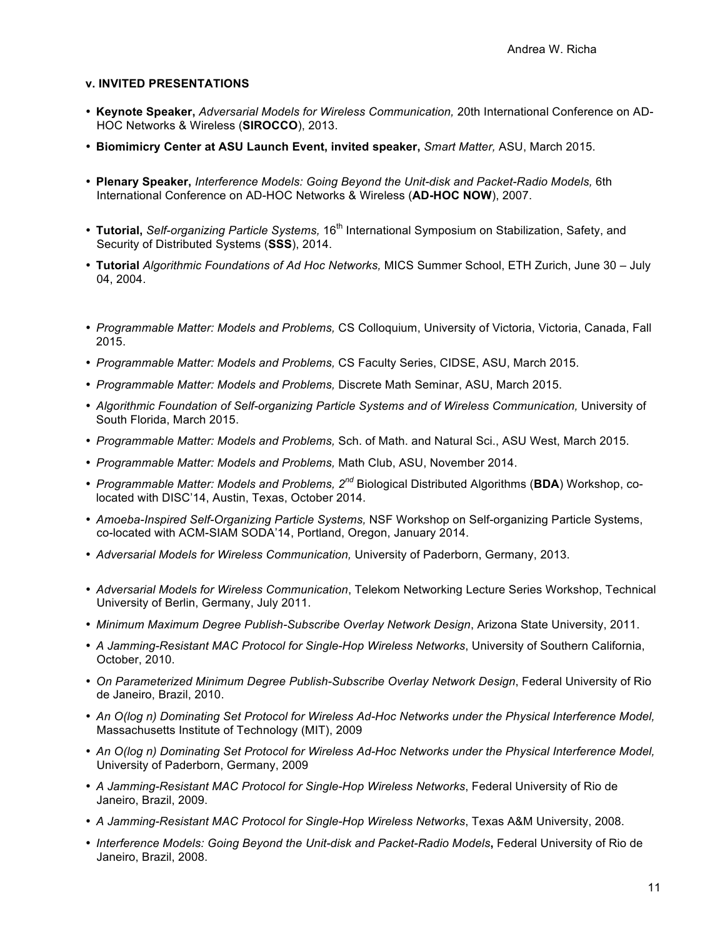#### **v. INVITED PRESENTATIONS**

- **Keynote Speaker,** *Adversarial Models for Wireless Communication,* 20th International Conference on AD-HOC Networks & Wireless (**SIROCCO**), 2013.
- **Biomimicry Center at ASU Launch Event, invited speaker,** *Smart Matter,* ASU, March 2015.
- **Plenary Speaker,** *Interference Models: Going Beyond the Unit-disk and Packet-Radio Models,* 6th International Conference on AD-HOC Networks & Wireless (**AD-HOC NOW**), 2007.
- Tutorial, Self-organizing Particle Systems, 16<sup>th</sup> International Symposium on Stabilization, Safety, and Security of Distributed Systems (**SSS**), 2014.
- **Tutorial** *Algorithmic Foundations of Ad Hoc Networks,* MICS Summer School, ETH Zurich, June 30 July 04, 2004.
- *Programmable Matter: Models and Problems,* CS Colloquium, University of Victoria, Victoria, Canada, Fall 2015.
- *Programmable Matter: Models and Problems,* CS Faculty Series, CIDSE, ASU, March 2015.
- *Programmable Matter: Models and Problems,* Discrete Math Seminar, ASU, March 2015.
- *Algorithmic Foundation of Self-organizing Particle Systems and of Wireless Communication,* University of South Florida, March 2015.
- *Programmable Matter: Models and Problems,* Sch. of Math. and Natural Sci., ASU West, March 2015.
- *Programmable Matter: Models and Problems,* Math Club, ASU, November 2014.
- *Programmable Matter: Models and Problems, 2nd* Biological Distributed Algorithms (**BDA**) Workshop, colocated with DISC'14, Austin, Texas, October 2014.
- *Amoeba-Inspired Self-Organizing Particle Systems,* NSF Workshop on Self-organizing Particle Systems, co-located with ACM-SIAM SODA'14, Portland, Oregon, January 2014.
- *Adversarial Models for Wireless Communication,* University of Paderborn, Germany, 2013.
- *Adversarial Models for Wireless Communication*, Telekom Networking Lecture Series Workshop, Technical University of Berlin, Germany, July 2011.
- *Minimum Maximum Degree Publish-Subscribe Overlay Network Design*, Arizona State University, 2011.
- *A Jamming-Resistant MAC Protocol for Single-Hop Wireless Networks*, University of Southern California, October, 2010.
- *On Parameterized Minimum Degree Publish-Subscribe Overlay Network Design*, Federal University of Rio de Janeiro, Brazil, 2010.
- *An O(log n) Dominating Set Protocol for Wireless Ad-Hoc Networks under the Physical Interference Model,*  Massachusetts Institute of Technology (MIT), 2009
- *An O(log n) Dominating Set Protocol for Wireless Ad-Hoc Networks under the Physical Interference Model,*  University of Paderborn, Germany, 2009
- *A Jamming-Resistant MAC Protocol for Single-Hop Wireless Networks*, Federal University of Rio de Janeiro, Brazil, 2009.
- *A Jamming-Resistant MAC Protocol for Single-Hop Wireless Networks*, Texas A&M University, 2008.
- *Interference Models: Going Beyond the Unit-disk and Packet-Radio Models***,** Federal University of Rio de Janeiro, Brazil, 2008.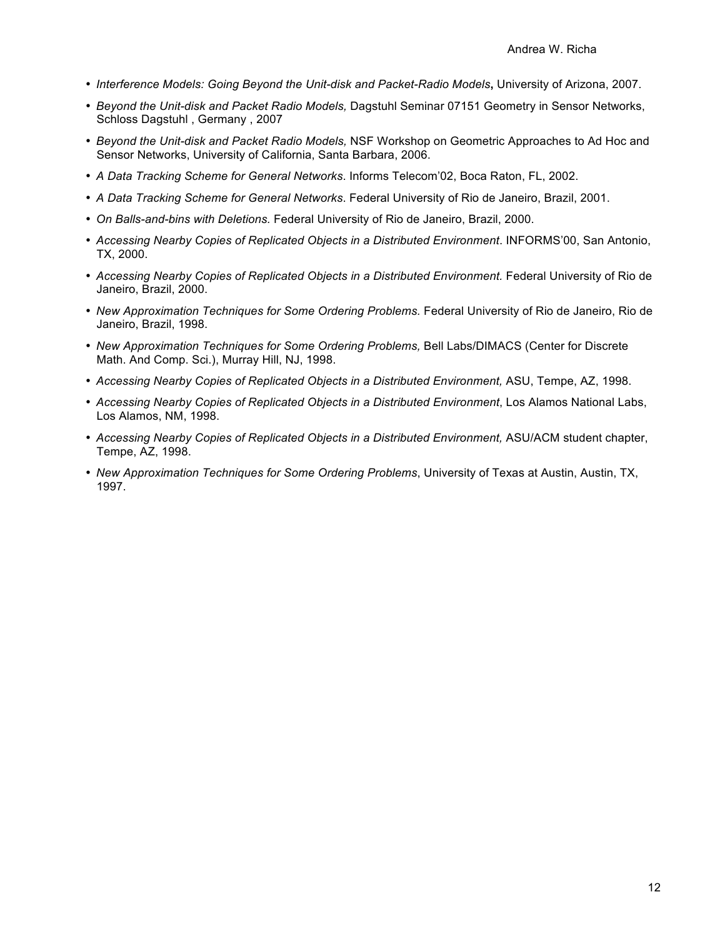- *Interference Models: Going Beyond the Unit-disk and Packet-Radio Models***,** University of Arizona, 2007.
- *Beyond the Unit-disk and Packet Radio Models,* Dagstuhl Seminar 07151 Geometry in Sensor Networks, Schloss Dagstuhl , Germany , 2007
- *Beyond the Unit-disk and Packet Radio Models,* NSF Workshop on Geometric Approaches to Ad Hoc and Sensor Networks, University of California, Santa Barbara, 2006.
- *A Data Tracking Scheme for General Networks*. Informs Telecom'02, Boca Raton, FL, 2002.
- *A Data Tracking Scheme for General Networks*. Federal University of Rio de Janeiro, Brazil, 2001.
- *On Balls-and-bins with Deletions.* Federal University of Rio de Janeiro, Brazil, 2000.
- *Accessing Nearby Copies of Replicated Objects in a Distributed Environment*. INFORMS'00, San Antonio, TX, 2000.
- *Accessing Nearby Copies of Replicated Objects in a Distributed Environment.* Federal University of Rio de Janeiro, Brazil, 2000.
- *New Approximation Techniques for Some Ordering Problems.* Federal University of Rio de Janeiro, Rio de Janeiro, Brazil, 1998.
- *New Approximation Techniques for Some Ordering Problems,* Bell Labs/DIMACS (Center for Discrete Math. And Comp. Sci.), Murray Hill, NJ, 1998.
- *Accessing Nearby Copies of Replicated Objects in a Distributed Environment,* ASU, Tempe, AZ, 1998.
- *Accessing Nearby Copies of Replicated Objects in a Distributed Environment*, Los Alamos National Labs, Los Alamos, NM, 1998.
- *Accessing Nearby Copies of Replicated Objects in a Distributed Environment,* ASU/ACM student chapter, Tempe, AZ, 1998.
- *New Approximation Techniques for Some Ordering Problems*, University of Texas at Austin, Austin, TX, 1997.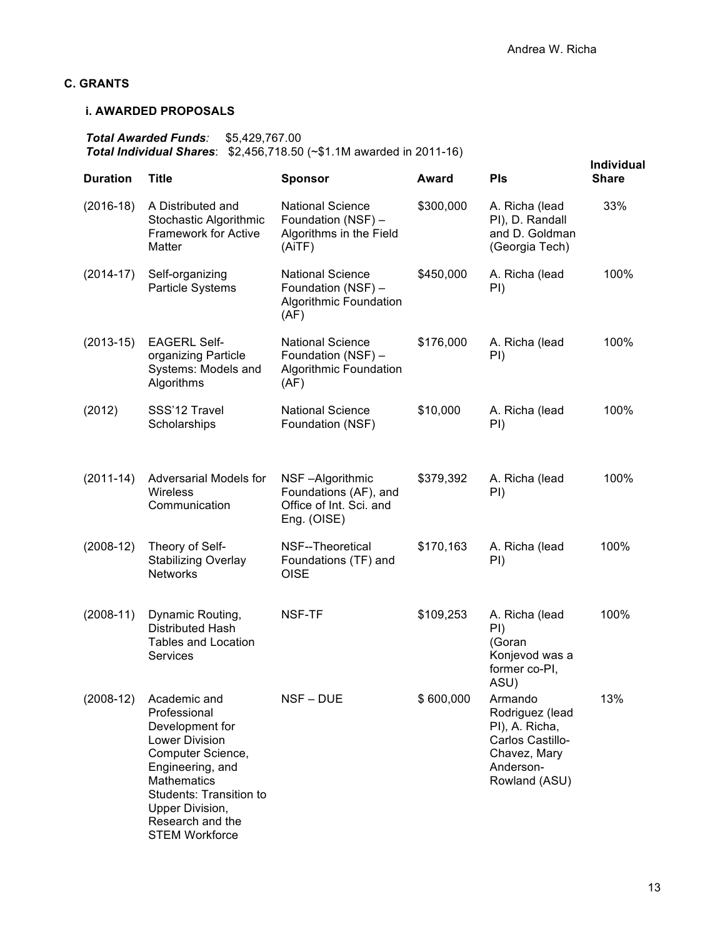## **C. GRANTS**

## **i. AWARDED PROPOSALS**

*Total Awarded Funds:* \$5,429,767.00 *Total Individual Shares*: \$2,456,718.50 (~\$1.1M awarded in 2011-16)

|                 | $\frac{1}{2}$                                                                                                                                                                                                                      | $V$ . The divided in $E_0$ in                                                          |           |                                                                                                                | Individual   |
|-----------------|------------------------------------------------------------------------------------------------------------------------------------------------------------------------------------------------------------------------------------|----------------------------------------------------------------------------------------|-----------|----------------------------------------------------------------------------------------------------------------|--------------|
| <b>Duration</b> | <b>Title</b>                                                                                                                                                                                                                       | <b>Sponsor</b>                                                                         | Award     | <b>PIs</b>                                                                                                     | <b>Share</b> |
| $(2016-18)$     | A Distributed and<br>Stochastic Algorithmic<br><b>Framework for Active</b><br>Matter                                                                                                                                               | <b>National Science</b><br>Foundation (NSF) -<br>Algorithms in the Field<br>(AiTF)     | \$300,000 | A. Richa (lead<br>PI), D. Randall<br>and D. Goldman<br>(Georgia Tech)                                          | 33%          |
| $(2014-17)$     | Self-organizing<br>Particle Systems                                                                                                                                                                                                | <b>National Science</b><br>Foundation (NSF) -<br><b>Algorithmic Foundation</b><br>(AF) | \$450,000 | A. Richa (lead<br>PI)                                                                                          | 100%         |
| $(2013-15)$     | <b>EAGERL Self-</b><br>organizing Particle<br>Systems: Models and<br>Algorithms                                                                                                                                                    | <b>National Science</b><br>Foundation (NSF) -<br><b>Algorithmic Foundation</b><br>(AF) | \$176,000 | A. Richa (lead<br>PI)                                                                                          | 100%         |
| (2012)          | SSS'12 Travel<br>Scholarships                                                                                                                                                                                                      | <b>National Science</b><br>Foundation (NSF)                                            | \$10,000  | A. Richa (lead<br>PI)                                                                                          | 100%         |
| $(2011-14)$     | Adversarial Models for<br>Wireless<br>Communication                                                                                                                                                                                | NSF-Algorithmic<br>Foundations (AF), and<br>Office of Int. Sci. and<br>Eng. (OISE)     | \$379,392 | A. Richa (lead<br>PI)                                                                                          | 100%         |
| $(2008-12)$     | Theory of Self-<br><b>Stabilizing Overlay</b><br><b>Networks</b>                                                                                                                                                                   | NSF--Theoretical<br>Foundations (TF) and<br><b>OISE</b>                                | \$170,163 | A. Richa (lead<br>PI)                                                                                          | 100%         |
| $(2008-11)$     | Dynamic Routing,<br><b>Distributed Hash</b><br><b>Tables and Location</b><br>Services                                                                                                                                              | NSF-TF                                                                                 | \$109,253 | A. Richa (lead<br>PI)<br>(Goran<br>Konjevod was a<br>former co-PI,<br>ASU)                                     | 100%         |
| $(2008-12)$     | Academic and<br>Professional<br>Development for<br><b>Lower Division</b><br>Computer Science,<br>Engineering, and<br><b>Mathematics</b><br>Students: Transition to<br>Upper Division,<br>Research and the<br><b>STEM Workforce</b> | NSF-DUE                                                                                | \$600,000 | Armando<br>Rodriguez (lead<br>PI), A. Richa,<br>Carlos Castillo-<br>Chavez, Mary<br>Anderson-<br>Rowland (ASU) | 13%          |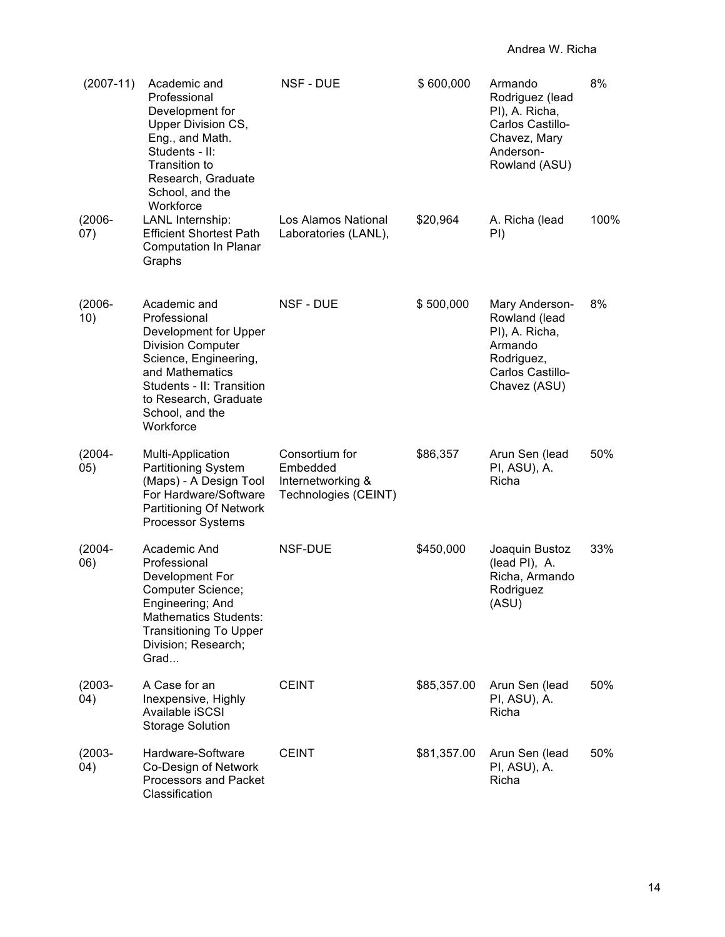| $(2007-11)$       | Academic and<br>Professional<br>Development for<br>Upper Division CS,<br>Eng., and Math.<br>Students - II:<br>Transition to<br>Research, Graduate<br>School, and the<br>Workforce                                   | <b>NSF - DUE</b>                                                        | \$600,000   | Armando<br>Rodriguez (lead<br>PI), A. Richa,<br>Carlos Castillo-<br>Chavez, Mary<br>Anderson-<br>Rowland (ASU) | 8%   |
|-------------------|---------------------------------------------------------------------------------------------------------------------------------------------------------------------------------------------------------------------|-------------------------------------------------------------------------|-------------|----------------------------------------------------------------------------------------------------------------|------|
| $(2006 -$<br>(07) | LANL Internship:<br><b>Efficient Shortest Path</b><br><b>Computation In Planar</b><br>Graphs                                                                                                                        | Los Alamos National<br>Laboratories (LANL),                             | \$20,964    | A. Richa (lead<br>PI)                                                                                          | 100% |
| $(2006 -$<br>10)  | Academic and<br>Professional<br>Development for Upper<br><b>Division Computer</b><br>Science, Engineering,<br>and Mathematics<br>Students - II: Transition<br>to Research, Graduate<br>School, and the<br>Workforce | NSF - DUE                                                               | \$500,000   | Mary Anderson-<br>Rowland (lead<br>PI), A. Richa,<br>Armando<br>Rodriguez,<br>Carlos Castillo-<br>Chavez (ASU) | 8%   |
| $(2004 -$<br>05)  | Multi-Application<br><b>Partitioning System</b><br>(Maps) - A Design Tool<br>For Hardware/Software<br><b>Partitioning Of Network</b><br><b>Processor Systems</b>                                                    | Consortium for<br>Embedded<br>Internetworking &<br>Technologies (CEINT) | \$86,357    | Arun Sen (lead<br>PI, ASU), A.<br>Richa                                                                        | 50%  |
| $(2004 -$<br>06)  | Academic And<br>Professional<br>Development For<br><b>Computer Science;</b><br>Engineering; And<br><b>Mathematics Students:</b><br><b>Transitioning To Upper</b><br>Division; Research;<br>Grad                     | NSF-DUE                                                                 | \$450,000   | Joaquin Bustoz<br>(lead PI), A.<br>Richa, Armando<br>Rodriguez<br>(ASU)                                        | 33%  |
| $(2003 -$<br>(04) | A Case for an<br>Inexpensive, Highly<br>Available iSCSI<br><b>Storage Solution</b>                                                                                                                                  | <b>CEINT</b>                                                            | \$85,357.00 | Arun Sen (lead<br>PI, ASU), A.<br>Richa                                                                        | 50%  |
| $(2003 -$<br>04)  | Hardware-Software<br>Co-Design of Network<br>Processors and Packet<br>Classification                                                                                                                                | <b>CEINT</b>                                                            | \$81,357.00 | Arun Sen (lead<br>PI, ASU), A.<br>Richa                                                                        | 50%  |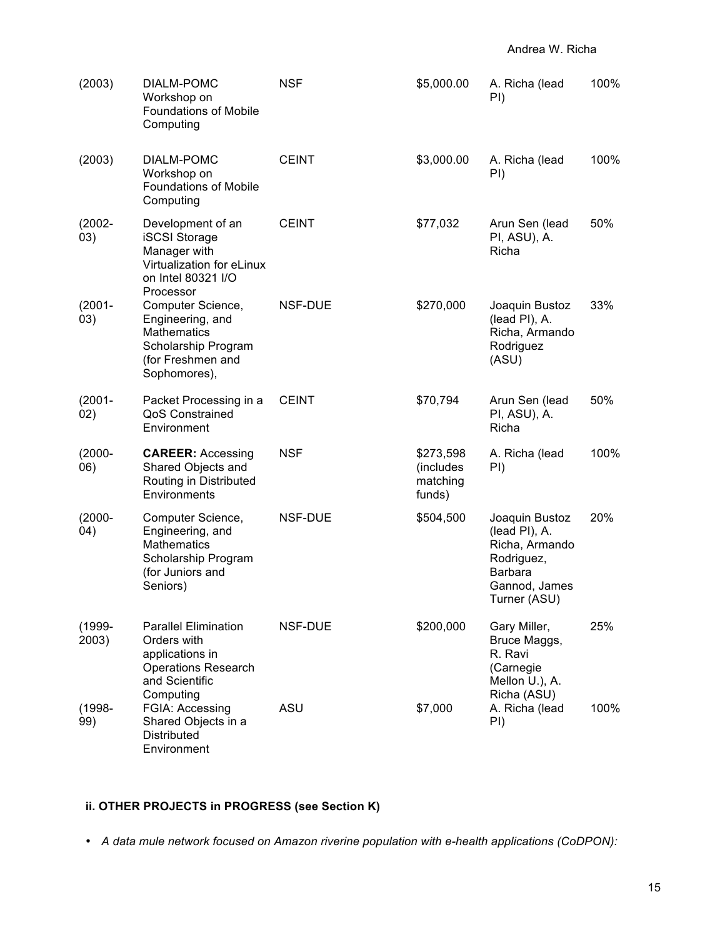| (2003)             | DIALM-POMC<br>Workshop on<br><b>Foundations of Mobile</b><br>Computing                                                     | <b>NSF</b>   | \$5,000.00                                   | A. Richa (lead<br>PI)                                                                                              | 100% |
|--------------------|----------------------------------------------------------------------------------------------------------------------------|--------------|----------------------------------------------|--------------------------------------------------------------------------------------------------------------------|------|
| (2003)             | DIALM-POMC<br>Workshop on<br><b>Foundations of Mobile</b><br>Computing                                                     | <b>CEINT</b> | \$3,000.00                                   | A. Richa (lead<br>PI)                                                                                              | 100% |
| $(2002 -$<br>03)   | Development of an<br><b>iSCSI Storage</b><br>Manager with<br>Virtualization for eLinux<br>on Intel 80321 I/O<br>Processor  | <b>CEINT</b> | \$77,032                                     | Arun Sen (lead<br>PI, ASU), A.<br>Richa                                                                            | 50%  |
| $(2001 -$<br>03)   | Computer Science,<br>Engineering, and<br><b>Mathematics</b><br>Scholarship Program<br>(for Freshmen and<br>Sophomores),    | NSF-DUE      | \$270,000                                    | Joaquin Bustoz<br>(lead PI), A.<br>Richa, Armando<br>Rodriguez<br>(ASU)                                            | 33%  |
| $(2001 -$<br>02)   | Packet Processing in a<br>QoS Constrained<br>Environment                                                                   | <b>CEINT</b> | \$70,794                                     | Arun Sen (lead<br>PI, ASU), A.<br>Richa                                                                            | 50%  |
| $(2000 -$<br>06)   | <b>CAREER: Accessing</b><br>Shared Objects and<br>Routing in Distributed<br>Environments                                   | <b>NSF</b>   | \$273,598<br>(includes<br>matching<br>funds) | A. Richa (lead<br>PI)                                                                                              | 100% |
| $(2000 -$<br>(04)  | Computer Science,<br>Engineering, and<br><b>Mathematics</b><br>Scholarship Program<br>(for Juniors and<br>Seniors)         | NSF-DUE      | \$504,500                                    | Joaquin Bustoz<br>(lead PI), A.<br>Richa, Armando<br>Rodriguez,<br><b>Barbara</b><br>Gannod, James<br>Turner (ASU) | 20%  |
| $(1999 -$<br>2003) | <b>Parallel Elimination</b><br>Orders with<br>applications in<br><b>Operations Research</b><br>and Scientific<br>Computing | NSF-DUE      | \$200,000                                    | Gary Miller,<br>Bruce Maggs,<br>R. Ravi<br>(Carnegie<br>Mellon U.), A.<br>Richa (ASU)                              | 25%  |
| $(1998 -$<br>99)   | FGIA: Accessing<br>Shared Objects in a<br><b>Distributed</b><br>Environment                                                | ASU          | \$7,000                                      | A. Richa (lead<br>PI)                                                                                              | 100% |

# **ii. OTHER PROJECTS in PROGRESS (see Section K)**

• *A data mule network focused on Amazon riverine population with e-health applications (CoDPON):*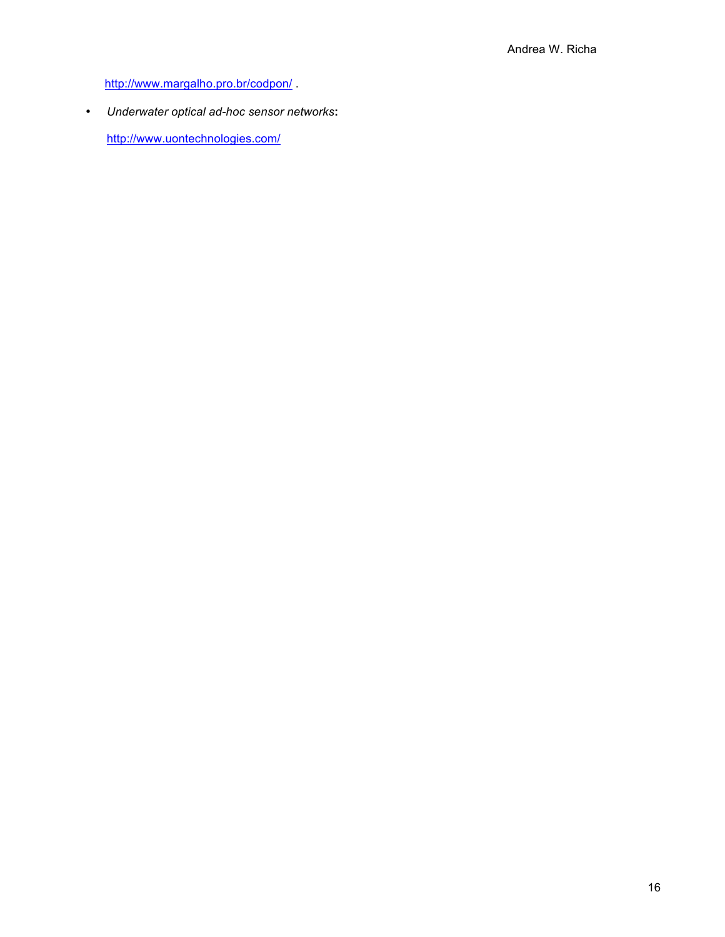http://www.margalho.pro.br/codpon/ .

• *Underwater optical ad-hoc sensor networks***:** 

http://www.uontechnologies.com/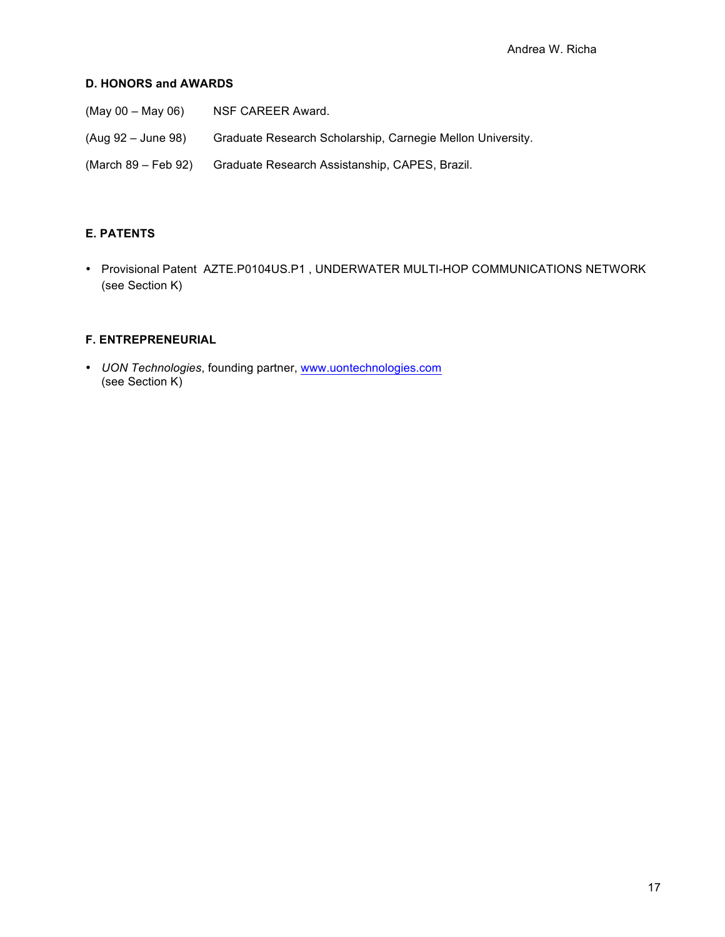## **D. HONORS and AWARDS**

| $(Mav 00 - May 06)$ | NSF CAREER Award.                                          |
|---------------------|------------------------------------------------------------|
| (Aug 92 – June 98)  | Graduate Research Scholarship, Carnegie Mellon University. |
| (March 89 – Feb 92) | Graduate Research Assistanship, CAPES, Brazil.             |

# **E. PATENTS**

• Provisional Patent AZTE.P0104US.P1 , UNDERWATER MULTI-HOP COMMUNICATIONS NETWORK (see Section K)

# **F. ENTREPRENEURIAL**

• *UON Technologies*, founding partner, www.uontechnologies.com (see Section K)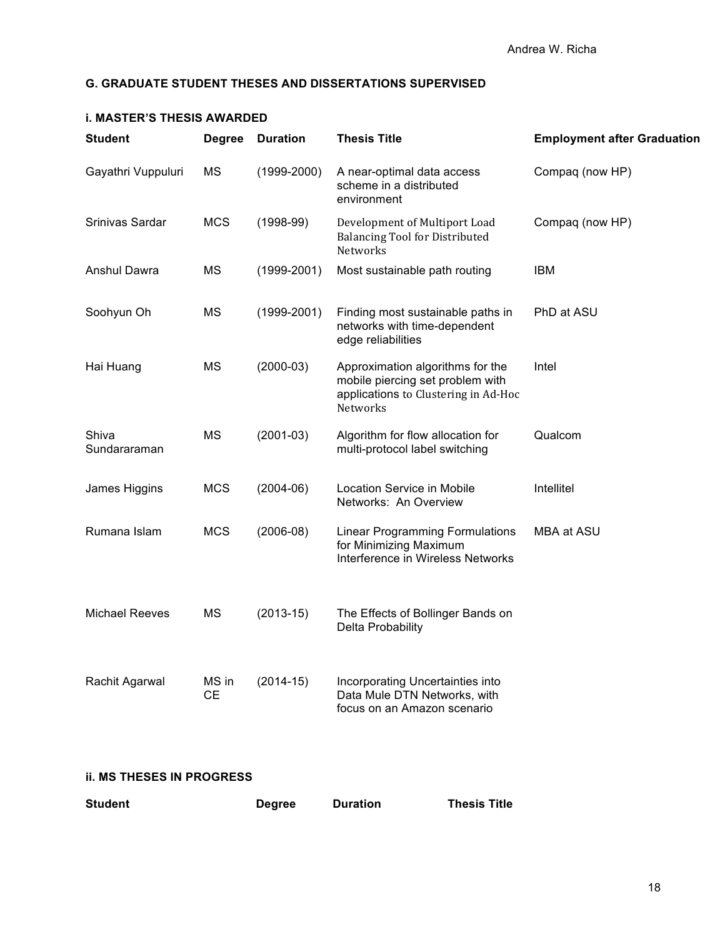## **G. GRADUATE STUDENT THESES AND DISSERTATIONS SUPERVISED**

| <b>Student</b>        | <b>Degree</b>      | <b>Duration</b> | <b>Thesis Title</b>                                                                                                             | <b>Employment after Graduation</b> |
|-----------------------|--------------------|-----------------|---------------------------------------------------------------------------------------------------------------------------------|------------------------------------|
| Gayathri Vuppuluri    | MS                 | $(1999 - 2000)$ | A near-optimal data access<br>scheme in a distributed<br>environment                                                            | Compaq (now HP)                    |
| Srinivas Sardar       | <b>MCS</b>         | $(1998-99)$     | Development of Multiport Load<br><b>Balancing Tool for Distributed</b><br>Networks                                              | Compaq (now HP)                    |
| Anshul Dawra          | MS                 | $(1999 - 2001)$ | Most sustainable path routing                                                                                                   | <b>IBM</b>                         |
| Soohyun Oh            | MS                 | $(1999 - 2001)$ | Finding most sustainable paths in<br>networks with time-dependent<br>edge reliabilities                                         | PhD at ASU                         |
| Hai Huang             | <b>MS</b>          | $(2000-03)$     | Approximation algorithms for the<br>mobile piercing set problem with<br>applications to Clustering in Ad-Hoc<br><b>Networks</b> | Intel                              |
| Shiva<br>Sundararaman | <b>MS</b>          | $(2001-03)$     | Algorithm for flow allocation for<br>multi-protocol label switching                                                             | Qualcom                            |
| James Higgins         | <b>MCS</b>         | $(2004-06)$     | <b>Location Service in Mobile</b><br>Networks: An Overview                                                                      | Intellitel                         |
| Rumana Islam          | <b>MCS</b>         | $(2006-08)$     | <b>Linear Programming Formulations</b><br>for Minimizing Maximum<br>Interference in Wireless Networks                           | MBA at ASU                         |
| Michael Reeves        | <b>MS</b>          | $(2013-15)$     | The Effects of Bollinger Bands on<br>Delta Probability                                                                          |                                    |
| Rachit Agarwal        | MS in<br><b>CE</b> | $(2014-15)$     | Incorporating Uncertainties into<br>Data Mule DTN Networks, with<br>focus on an Amazon scenario                                 |                                    |

## **i. MASTER'S THESIS AWARDED**

## **ii. MS THESES IN PROGRESS**

| <b>Student</b> | <b>Thesis Title</b> |
|----------------|---------------------|
| <b>Degree</b>  | <b>Duration</b>     |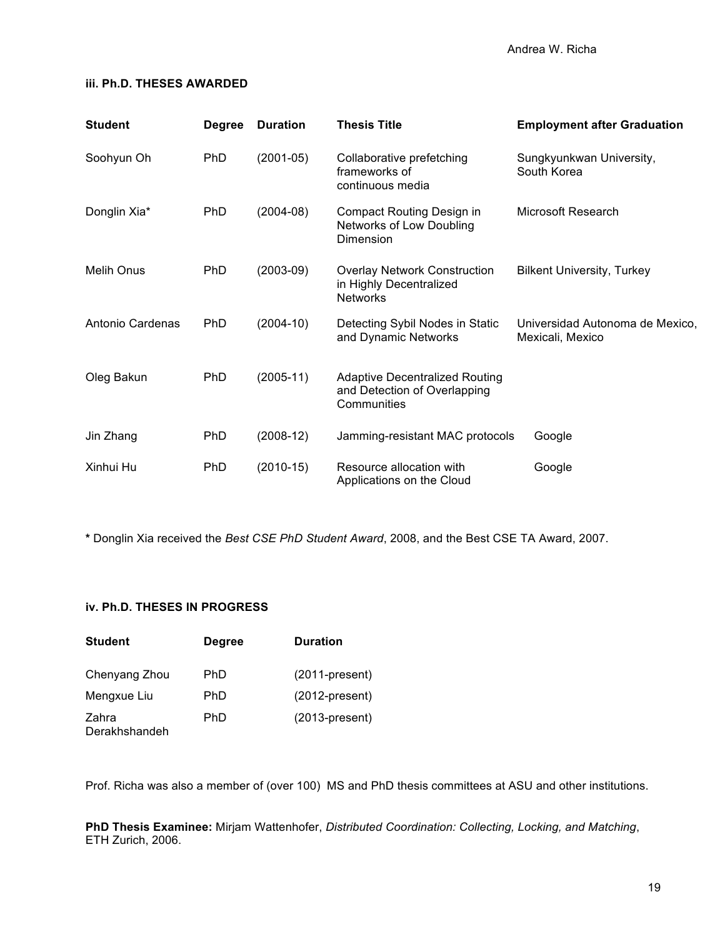### **iii. Ph.D. THESES AWARDED**

| <b>Student</b>   | <b>Degree</b> | <b>Duration</b> | <b>Thesis Title</b>                                                                  | <b>Employment after Graduation</b>                  |
|------------------|---------------|-----------------|--------------------------------------------------------------------------------------|-----------------------------------------------------|
| Soohyun Oh       | PhD           | $(2001-05)$     | Collaborative prefetching<br>frameworks of<br>continuous media                       | Sungkyunkwan University,<br>South Korea             |
| Donglin Xia*     | <b>PhD</b>    | $(2004-08)$     | Compact Routing Design in<br>Networks of Low Doubling<br>Dimension                   | Microsoft Research                                  |
| Melih Onus       | <b>PhD</b>    | $(2003-09)$     | <b>Overlay Network Construction</b><br>in Highly Decentralized<br><b>Networks</b>    | <b>Bilkent University, Turkey</b>                   |
| Antonio Cardenas | <b>PhD</b>    | $(2004-10)$     | Detecting Sybil Nodes in Static<br>and Dynamic Networks                              | Universidad Autonoma de Mexico,<br>Mexicali, Mexico |
| Oleg Bakun       | PhD           | $(2005-11)$     | <b>Adaptive Decentralized Routing</b><br>and Detection of Overlapping<br>Communities |                                                     |
| Jin Zhang        | <b>PhD</b>    | $(2008-12)$     | Jamming-resistant MAC protocols                                                      | Google                                              |
| Xinhui Hu        | <b>PhD</b>    | $(2010-15)$     | Resource allocation with<br>Applications on the Cloud                                | Google                                              |

**\*** Donglin Xia received the *Best CSE PhD Student Award*, 2008, and the Best CSE TA Award, 2007.

## **iv. Ph.D. THESES IN PROGRESS**

| <b>Student</b>         | <b>Degree</b> | <b>Duration</b>   |
|------------------------|---------------|-------------------|
| Chenyang Zhou          | <b>PhD</b>    | $(2011-present)$  |
| Mengxue Liu            | <b>PhD</b>    | $(2012$ -present) |
| Zahra<br>Derakhshandeh | PhD           | $(2013-present)$  |

Prof. Richa was also a member of (over 100) MS and PhD thesis committees at ASU and other institutions.

**PhD Thesis Examinee:** Mirjam Wattenhofer, *Distributed Coordination: Collecting, Locking, and Matching*, ETH Zurich, 2006.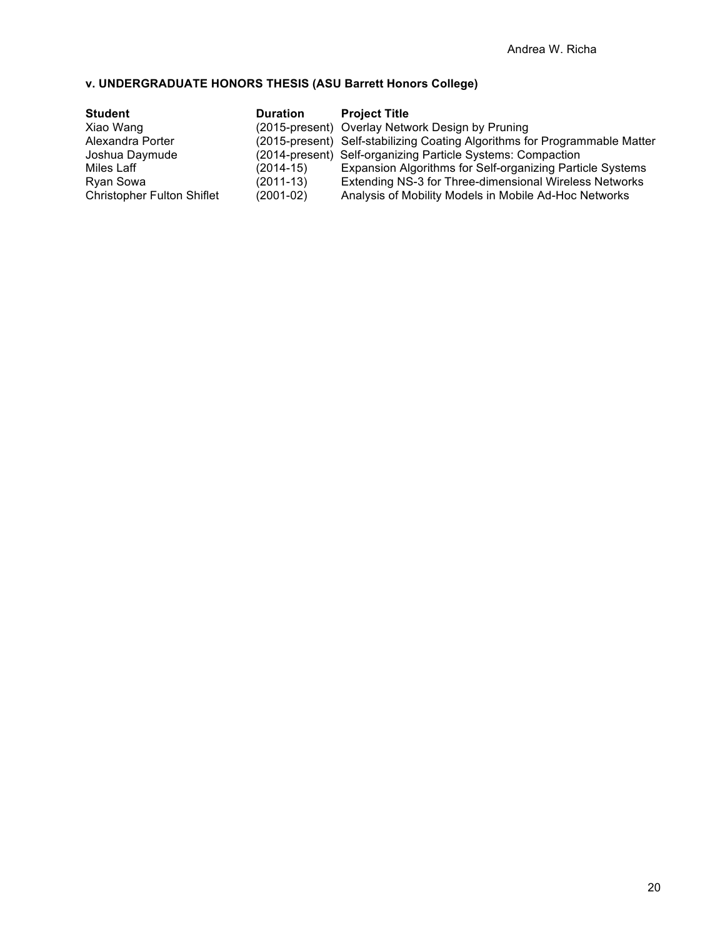# **v. UNDERGRADUATE HONORS THESIS (ASU Barrett Honors College)**

| <b>Student</b>                    | <b>Duration</b> | <b>Project Title</b>                                                       |
|-----------------------------------|-----------------|----------------------------------------------------------------------------|
| Xiao Wang                         |                 | (2015-present) Overlay Network Design by Pruning                           |
| Alexandra Porter                  |                 | (2015-present) Self-stabilizing Coating Algorithms for Programmable Matter |
| Joshua Daymude                    |                 | (2014-present) Self-organizing Particle Systems: Compaction                |
| Miles Laff                        | (2014-15)       | Expansion Algorithms for Self-organizing Particle Systems                  |
| Ryan Sowa                         | $(2011-13)$     | Extending NS-3 for Three-dimensional Wireless Networks                     |
| <b>Christopher Fulton Shiflet</b> | $(2001-02)$     | Analysis of Mobility Models in Mobile Ad-Hoc Networks                      |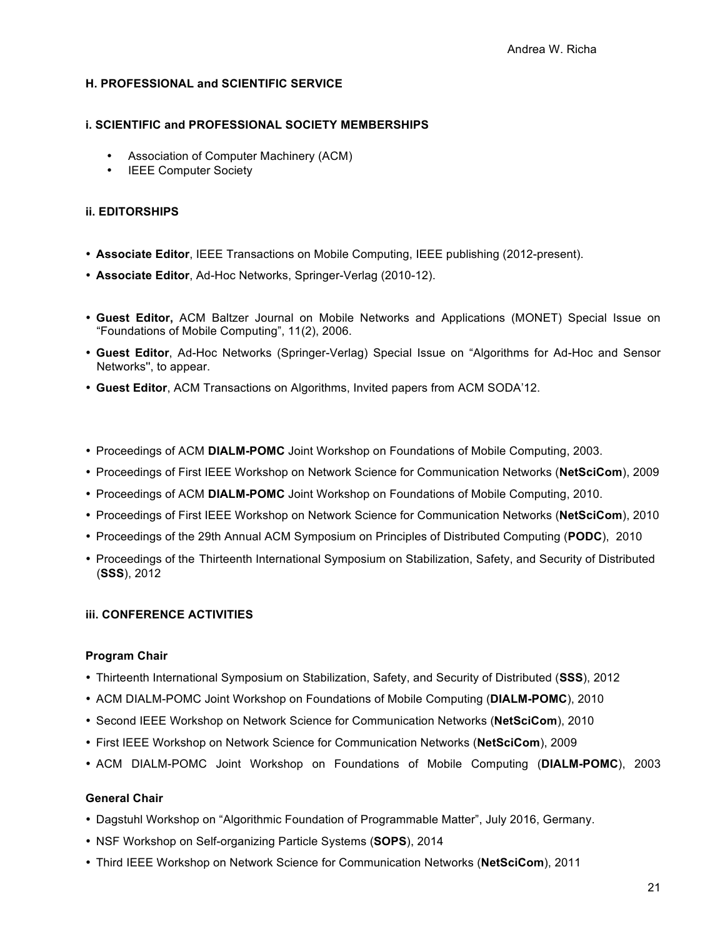### **H. PROFESSIONAL and SCIENTIFIC SERVICE**

#### **i. SCIENTIFIC and PROFESSIONAL SOCIETY MEMBERSHIPS**

- Association of Computer Machinery (ACM)
- IEEE Computer Society

### **ii. EDITORSHIPS**

- **Associate Editor**, IEEE Transactions on Mobile Computing, IEEE publishing (2012-present).
- **Associate Editor**, Ad-Hoc Networks, Springer-Verlag (2010-12).
- **Guest Editor,** ACM Baltzer Journal on Mobile Networks and Applications (MONET) Special Issue on "Foundations of Mobile Computing", 11(2), 2006.
- **Guest Editor**, Ad-Hoc Networks (Springer-Verlag) Special Issue on "Algorithms for Ad-Hoc and Sensor Networks'', to appear.
- **Guest Editor**, ACM Transactions on Algorithms, Invited papers from ACM SODA'12.
- Proceedings of ACM **DIALM-POMC** Joint Workshop on Foundations of Mobile Computing, 2003.
- Proceedings of First IEEE Workshop on Network Science for Communication Networks (**NetSciCom**), 2009
- Proceedings of ACM **DIALM-POMC** Joint Workshop on Foundations of Mobile Computing, 2010.
- Proceedings of First IEEE Workshop on Network Science for Communication Networks (**NetSciCom**), 2010
- Proceedings of the 29th Annual ACM Symposium on Principles of Distributed Computing (**PODC**), 2010
- Proceedings of the Thirteenth International Symposium on Stabilization, Safety, and Security of Distributed (**SSS**), 2012

#### **iii. CONFERENCE ACTIVITIES**

#### **Program Chair**

- Thirteenth International Symposium on Stabilization, Safety, and Security of Distributed (**SSS**), 2012
- ACM DIALM-POMC Joint Workshop on Foundations of Mobile Computing (**DIALM-POMC**), 2010
- Second IEEE Workshop on Network Science for Communication Networks (**NetSciCom**), 2010
- First IEEE Workshop on Network Science for Communication Networks (**NetSciCom**), 2009
- ACM DIALM-POMC Joint Workshop on Foundations of Mobile Computing (**DIALM-POMC**), 2003

## **General Chair**

- Dagstuhl Workshop on "Algorithmic Foundation of Programmable Matter", July 2016, Germany.
- NSF Workshop on Self-organizing Particle Systems (**SOPS**), 2014
- Third IEEE Workshop on Network Science for Communication Networks (**NetSciCom**), 2011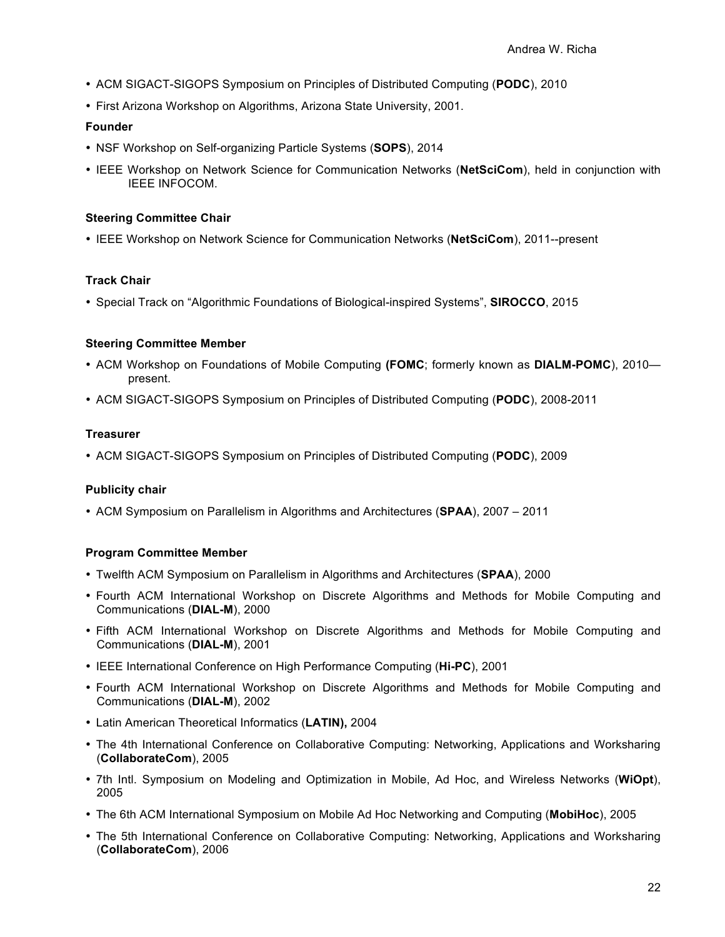- ACM SIGACT-SIGOPS Symposium on Principles of Distributed Computing (**PODC**), 2010
- First Arizona Workshop on Algorithms, Arizona State University, 2001.

#### **Founder**

- NSF Workshop on Self-organizing Particle Systems (**SOPS**), 2014
- IEEE Workshop on Network Science for Communication Networks (**NetSciCom**), held in conjunction with IEEE INFOCOM.

#### **Steering Committee Chair**

• IEEE Workshop on Network Science for Communication Networks (**NetSciCom**), 2011--present

## **Track Chair**

• Special Track on "Algorithmic Foundations of Biological-inspired Systems", **SIROCCO**, 2015

## **Steering Committee Member**

- ACM Workshop on Foundations of Mobile Computing **(FOMC**; formerly known as **DIALM-POMC**), 2010 present.
- ACM SIGACT-SIGOPS Symposium on Principles of Distributed Computing (**PODC**), 2008-2011

### **Treasurer**

• ACM SIGACT-SIGOPS Symposium on Principles of Distributed Computing (**PODC**), 2009

## **Publicity chair**

• ACM Symposium on Parallelism in Algorithms and Architectures (**SPAA**), 2007 – 2011

## **Program Committee Member**

- Twelfth ACM Symposium on Parallelism in Algorithms and Architectures (**SPAA**), 2000
- Fourth ACM International Workshop on Discrete Algorithms and Methods for Mobile Computing and Communications (**DIAL-M**), 2000
- Fifth ACM International Workshop on Discrete Algorithms and Methods for Mobile Computing and Communications (**DIAL-M**), 2001
- IEEE International Conference on High Performance Computing (**Hi-PC**), 2001
- Fourth ACM International Workshop on Discrete Algorithms and Methods for Mobile Computing and Communications (**DIAL-M**), 2002
- Latin American Theoretical Informatics (**LATIN),** 2004
- The 4th International Conference on Collaborative Computing: Networking, Applications and Worksharing (**CollaborateCom**), 2005
- 7th Intl. Symposium on Modeling and Optimization in Mobile, Ad Hoc, and Wireless Networks (**WiOpt**), 2005
- The 6th ACM International Symposium on Mobile Ad Hoc Networking and Computing (**MobiHoc**), 2005
- The 5th International Conference on Collaborative Computing: Networking, Applications and Worksharing (**CollaborateCom**), 2006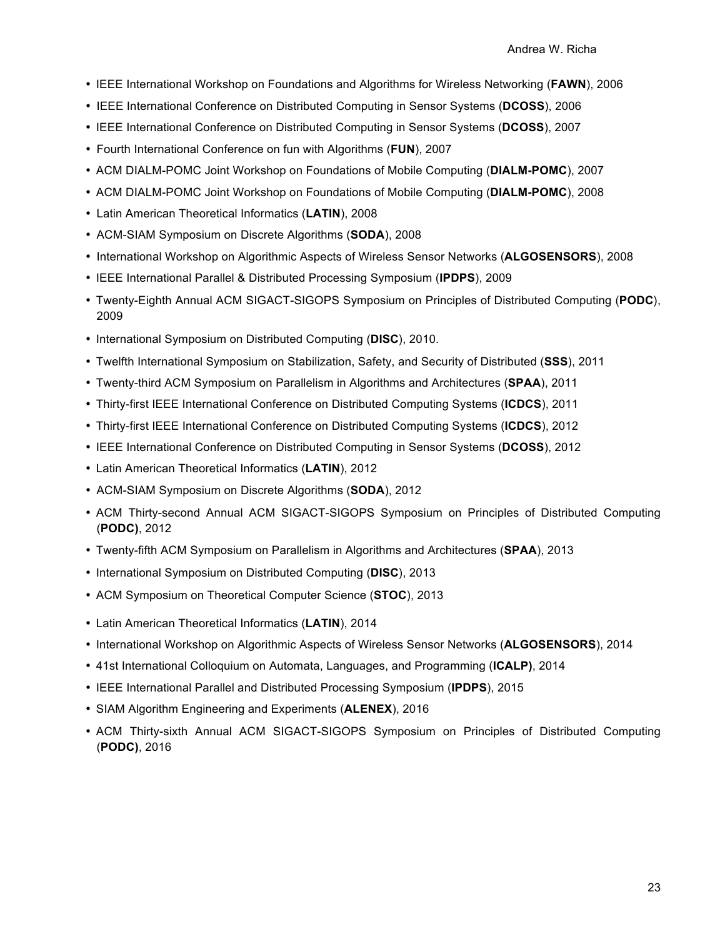- IEEE International Workshop on Foundations and Algorithms for Wireless Networking (**FAWN**), 2006
- IEEE International Conference on Distributed Computing in Sensor Systems (**DCOSS**), 2006
- IEEE International Conference on Distributed Computing in Sensor Systems (**DCOSS**), 2007
- Fourth International Conference on fun with Algorithms (**FUN**), 2007
- ACM DIALM-POMC Joint Workshop on Foundations of Mobile Computing (**DIALM-POMC**), 2007
- ACM DIALM-POMC Joint Workshop on Foundations of Mobile Computing (**DIALM-POMC**), 2008
- Latin American Theoretical Informatics (**LATIN**), 2008
- ACM-SIAM Symposium on Discrete Algorithms (**SODA**), 2008
- International Workshop on Algorithmic Aspects of Wireless Sensor Networks (**ALGOSENSORS**), 2008
- IEEE International Parallel & Distributed Processing Symposium (**IPDPS**), 2009
- Twenty-Eighth Annual ACM SIGACT-SIGOPS Symposium on Principles of Distributed Computing (**PODC**), 2009
- International Symposium on Distributed Computing (**DISC**), 2010.
- Twelfth International Symposium on Stabilization, Safety, and Security of Distributed (**SSS**), 2011
- Twenty-third ACM Symposium on Parallelism in Algorithms and Architectures (**SPAA**), 2011
- Thirty-first IEEE International Conference on Distributed Computing Systems (**ICDCS**), 2011
- Thirty-first IEEE International Conference on Distributed Computing Systems (**ICDCS**), 2012
- IEEE International Conference on Distributed Computing in Sensor Systems (**DCOSS**), 2012
- Latin American Theoretical Informatics (**LATIN**), 2012
- ACM-SIAM Symposium on Discrete Algorithms (**SODA**), 2012
- ACM Thirty-second Annual ACM SIGACT-SIGOPS Symposium on Principles of Distributed Computing (**PODC)**, 2012
- Twenty-fifth ACM Symposium on Parallelism in Algorithms and Architectures (**SPAA**), 2013
- International Symposium on Distributed Computing (**DISC**), 2013
- ACM Symposium on Theoretical Computer Science (**STOC**), 2013
- Latin American Theoretical Informatics (**LATIN**), 2014
- International Workshop on Algorithmic Aspects of Wireless Sensor Networks (**ALGOSENSORS**), 2014
- 41st International Colloquium on Automata, Languages, and Programming (**ICALP)**, 2014
- IEEE International Parallel and Distributed Processing Symposium (**IPDPS**), 2015
- SIAM Algorithm Engineering and Experiments (**ALENEX**), 2016
- ACM Thirty-sixth Annual ACM SIGACT-SIGOPS Symposium on Principles of Distributed Computing (**PODC)**, 2016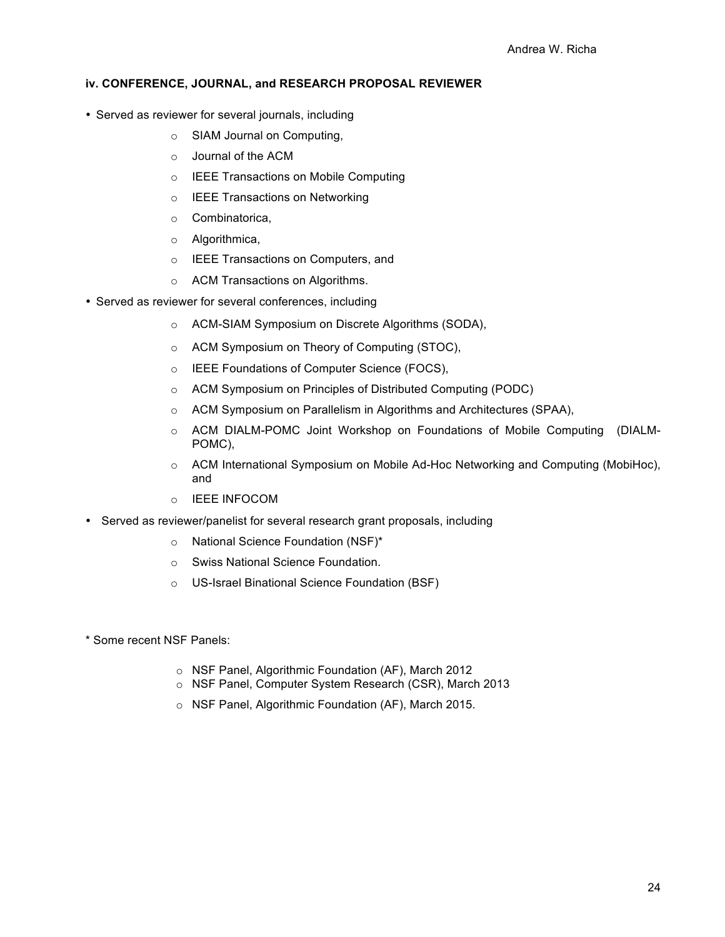### **iv. CONFERENCE, JOURNAL, and RESEARCH PROPOSAL REVIEWER**

- Served as reviewer for several journals, including
	- o SIAM Journal on Computing,
	- o Journal of the ACM
	- o IEEE Transactions on Mobile Computing
	- o IEEE Transactions on Networking
	- o Combinatorica,
	- o Algorithmica,
	- o IEEE Transactions on Computers, and
	- o ACM Transactions on Algorithms.
- Served as reviewer for several conferences, including
	- o ACM-SIAM Symposium on Discrete Algorithms (SODA),
	- o ACM Symposium on Theory of Computing (STOC),
	- o IEEE Foundations of Computer Science (FOCS),
	- o ACM Symposium on Principles of Distributed Computing (PODC)
	- o ACM Symposium on Parallelism in Algorithms and Architectures (SPAA),
	- o ACM DIALM-POMC Joint Workshop on Foundations of Mobile Computing (DIALM-POMC),
	- $\circ$  ACM International Symposium on Mobile Ad-Hoc Networking and Computing (MobiHoc), and
	- o IEEE INFOCOM
- Served as reviewer/panelist for several research grant proposals, including
	- o National Science Foundation (NSF)\*
	- o Swiss National Science Foundation.
	- o US-Israel Binational Science Foundation (BSF)
- \* Some recent NSF Panels:
	- o NSF Panel, Algorithmic Foundation (AF), March 2012
	- o NSF Panel, Computer System Research (CSR), March 2013
	- o NSF Panel, Algorithmic Foundation (AF), March 2015.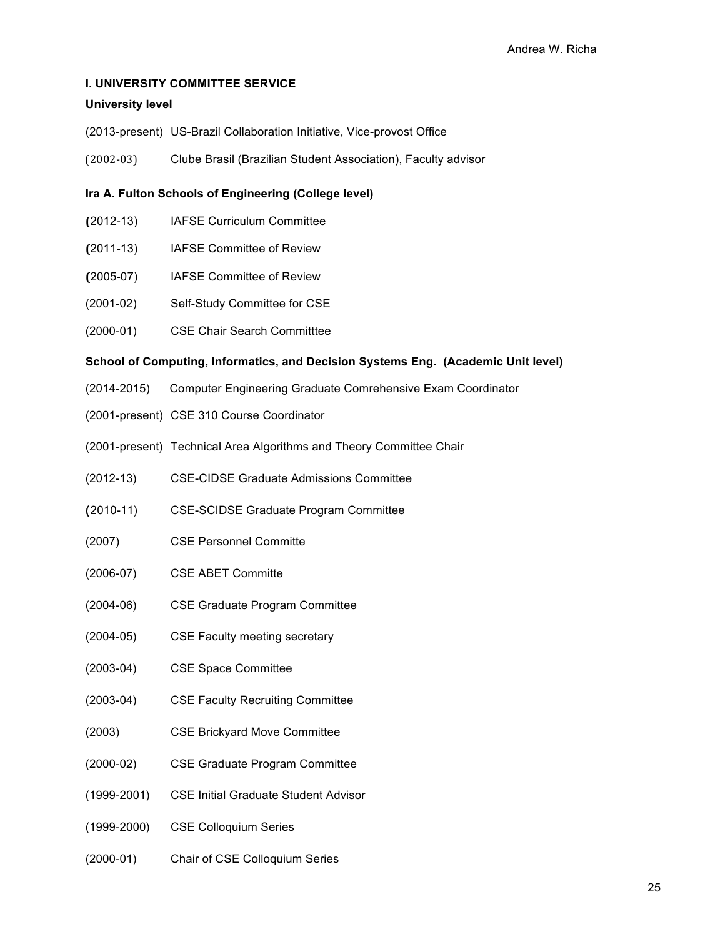## **I. UNIVERSITY COMMITTEE SERVICE**

### **University level**

- (2013-present) US-Brazil Collaboration Initiative, Vice-provost Office
- (2002-03) Clube Brasil (Brazilian Student Association), Faculty advisor

### **Ira A. Fulton Schools of Engineering (College level)**

- **(**2012-13) IAFSE Curriculum Committee
- **(**2011-13) IAFSE Committee of Review
- **(**2005-07) IAFSE Committee of Review
- (2001-02) Self-Study Committee for CSE
- (2000-01) CSE Chair Search Committtee

### **School of Computing, Informatics, and Decision Systems Eng. (Academic Unit level)**

- (2014-2015) Computer Engineering Graduate Comrehensive Exam Coordinator
- (2001-present) CSE 310 Course Coordinator
- (2001-present) Technical Area Algorithms and Theory Committee Chair
- (2012-13) CSE-CIDSE Graduate Admissions Committee
- (2010-11) CSE-SCIDSE Graduate Program Committee
- (2007) CSE Personnel Committe
- (2006-07) CSE ABET Committe
- (2004-06) CSE Graduate Program Committee
- (2004-05) CSE Faculty meeting secretary
- (2003-04) CSE Space Committee
- (2003-04) CSE Faculty Recruiting Committee
- (2003) CSE Brickyard Move Committee
- (2000-02) CSE Graduate Program Committee
- (1999-2001) CSE Initial Graduate Student Advisor
- (1999-2000) CSE Colloquium Series
- (2000-01) Chair of CSE Colloquium Series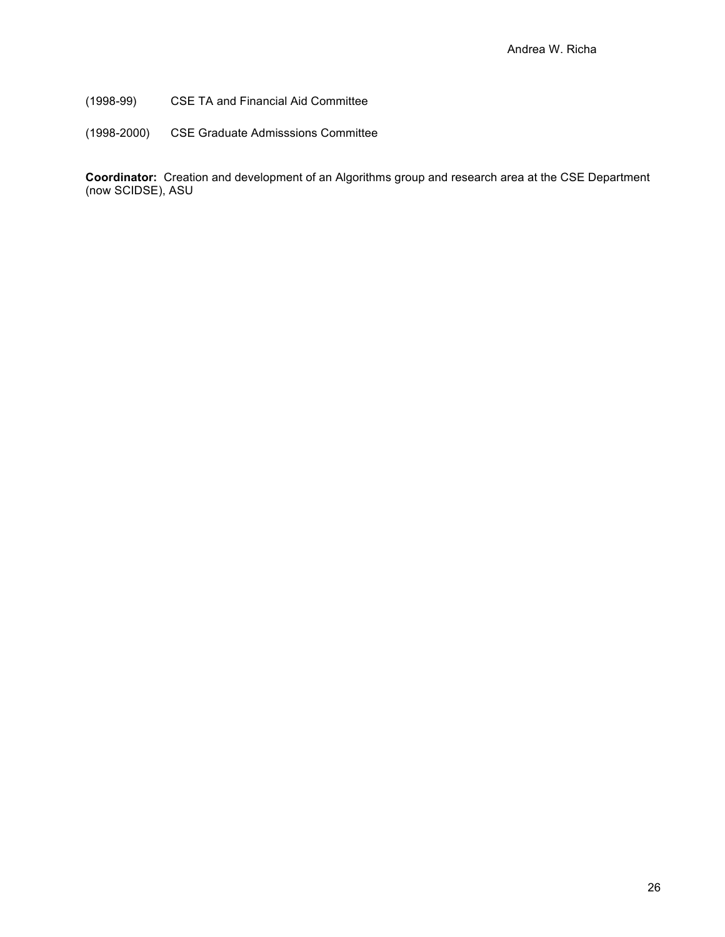(1998-99) CSE TA and Financial Aid Committee

(1998-2000) CSE Graduate Admisssions Committee

**Coordinator:** Creation and development of an Algorithms group and research area at the CSE Department (now SCIDSE), ASU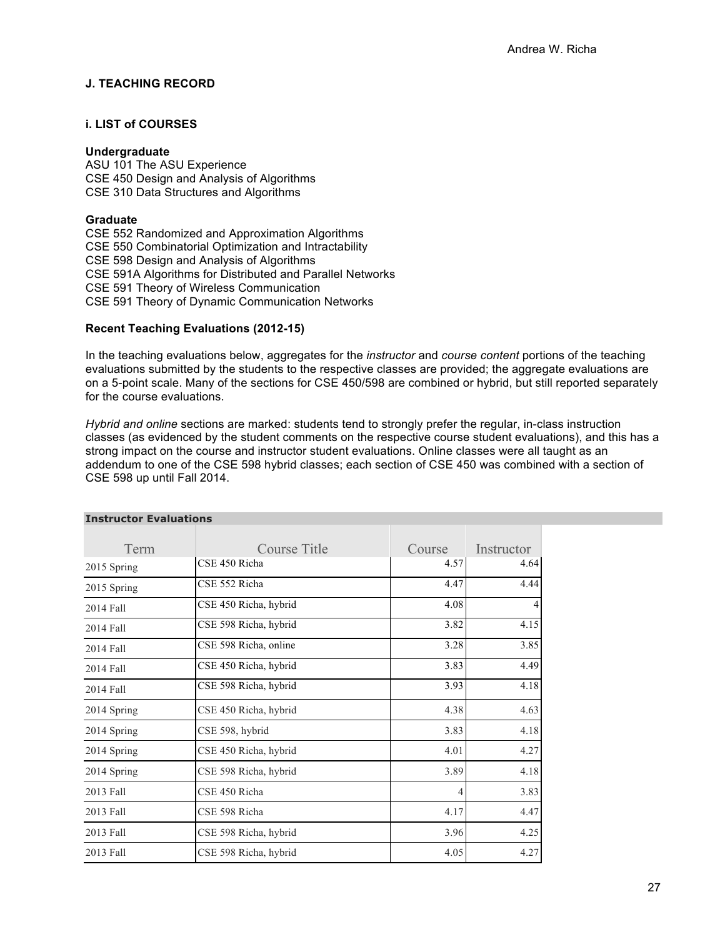## **J. TEACHING RECORD**

## **i. LIST of COURSES**

#### **Undergraduate**

ASU 101 The ASU Experience CSE 450 Design and Analysis of Algorithms CSE 310 Data Structures and Algorithms

#### **Graduate**

CSE 552 Randomized and Approximation Algorithms CSE 550 Combinatorial Optimization and Intractability CSE 598 Design and Analysis of Algorithms CSE 591A Algorithms for Distributed and Parallel Networks CSE 591 Theory of Wireless Communication CSE 591 Theory of Dynamic Communication Networks

### **Recent Teaching Evaluations (2012-15)**

In the teaching evaluations below, aggregates for the *instructor* and *course content* portions of the teaching evaluations submitted by the students to the respective classes are provided; the aggregate evaluations are on a 5-point scale. Many of the sections for CSE 450/598 are combined or hybrid, but still reported separately for the course evaluations.

*Hybrid and online* sections are marked: students tend to strongly prefer the regular, in-class instruction classes (as evidenced by the student comments on the respective course student evaluations), and this has a strong impact on the course and instructor student evaluations. Online classes were all taught as an addendum to one of the CSE 598 hybrid classes; each section of CSE 450 was combined with a section of CSE 598 up until Fall 2014.

| Term        | Course Title          | Course | Instructor |
|-------------|-----------------------|--------|------------|
| 2015 Spring | CSE 450 Richa         | 4.57   | 4.64       |
| 2015 Spring | CSE 552 Richa         | 4.47   | 4.44       |
| 2014 Fall   | CSE 450 Richa, hybrid | 4.08   |            |
| 2014 Fall   | CSE 598 Richa, hybrid | 3.82   | 4.15       |
| 2014 Fall   | CSE 598 Richa, online | 3.28   | 3.85       |
| 2014 Fall   | CSE 450 Richa, hybrid | 3.83   | 4.49       |
| 2014 Fall   | CSE 598 Richa, hybrid | 3.93   | 4.18       |
| 2014 Spring | CSE 450 Richa, hybrid | 4.38   | 4.63       |
| 2014 Spring | CSE 598, hybrid       | 3.83   | 4.18       |
| 2014 Spring | CSE 450 Richa, hybrid | 4.01   | 4.27       |
| 2014 Spring | CSE 598 Richa, hybrid | 3.89   | 4.18       |
| 2013 Fall   | CSE 450 Richa         | 4      | 3.83       |
| 2013 Fall   | CSE 598 Richa         | 4.17   | 4.47       |
| 2013 Fall   | CSE 598 Richa, hybrid | 3.96   | 4.25       |
| 2013 Fall   | CSE 598 Richa, hybrid | 4.05   | 4.27       |

#### **Instructor Evaluations**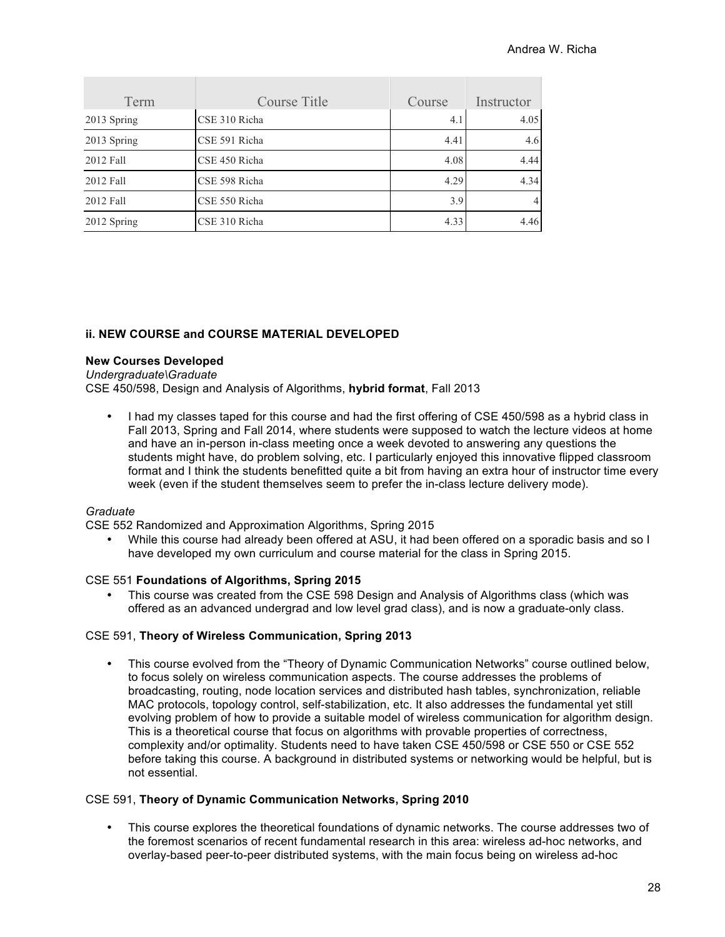| Term        | Course Title  | Course | Instructor     |
|-------------|---------------|--------|----------------|
| 2013 Spring | CSE 310 Richa | 4.1    | 4.05           |
| 2013 Spring | CSE 591 Richa | 4.41   | 4.6            |
| 2012 Fall   | CSE 450 Richa | 4.08   | 4.44           |
| 2012 Fall   | CSE 598 Richa | 4.29   | 4.34           |
| 2012 Fall   | CSE 550 Richa | 3.9    | $\overline{4}$ |
| 2012 Spring | CSE 310 Richa | 4.33   | 4.46           |

### **ii. NEW COURSE and COURSE MATERIAL DEVELOPED**

#### **New Courses Developed**

*Undergraduate\Graduate*

CSE 450/598, Design and Analysis of Algorithms, **hybrid format**, Fall 2013

I had my classes taped for this course and had the first offering of CSE 450/598 as a hybrid class in Fall 2013, Spring and Fall 2014, where students were supposed to watch the lecture videos at home and have an in-person in-class meeting once a week devoted to answering any questions the students might have, do problem solving, etc. I particularly enjoyed this innovative flipped classroom format and I think the students benefitted quite a bit from having an extra hour of instructor time every week (even if the student themselves seem to prefer the in-class lecture delivery mode).

#### *Graduate*

CSE 552 Randomized and Approximation Algorithms, Spring 2015

• While this course had already been offered at ASU, it had been offered on a sporadic basis and so I have developed my own curriculum and course material for the class in Spring 2015.

#### CSE 551 **Foundations of Algorithms, Spring 2015**

• This course was created from the CSE 598 Design and Analysis of Algorithms class (which was offered as an advanced undergrad and low level grad class), and is now a graduate-only class.

#### CSE 591, **Theory of Wireless Communication, Spring 2013**

• This course evolved from the "Theory of Dynamic Communication Networks" course outlined below, to focus solely on wireless communication aspects. The course addresses the problems of broadcasting, routing, node location services and distributed hash tables, synchronization, reliable MAC protocols, topology control, self-stabilization, etc. It also addresses the fundamental yet still evolving problem of how to provide a suitable model of wireless communication for algorithm design. This is a theoretical course that focus on algorithms with provable properties of correctness, complexity and/or optimality. Students need to have taken CSE 450/598 or CSE 550 or CSE 552 before taking this course. A background in distributed systems or networking would be helpful, but is not essential.

#### CSE 591, **Theory of Dynamic Communication Networks, Spring 2010**

• This course explores the theoretical foundations of dynamic networks. The course addresses two of the foremost scenarios of recent fundamental research in this area: wireless ad-hoc networks, and overlay-based peer-to-peer distributed systems, with the main focus being on wireless ad-hoc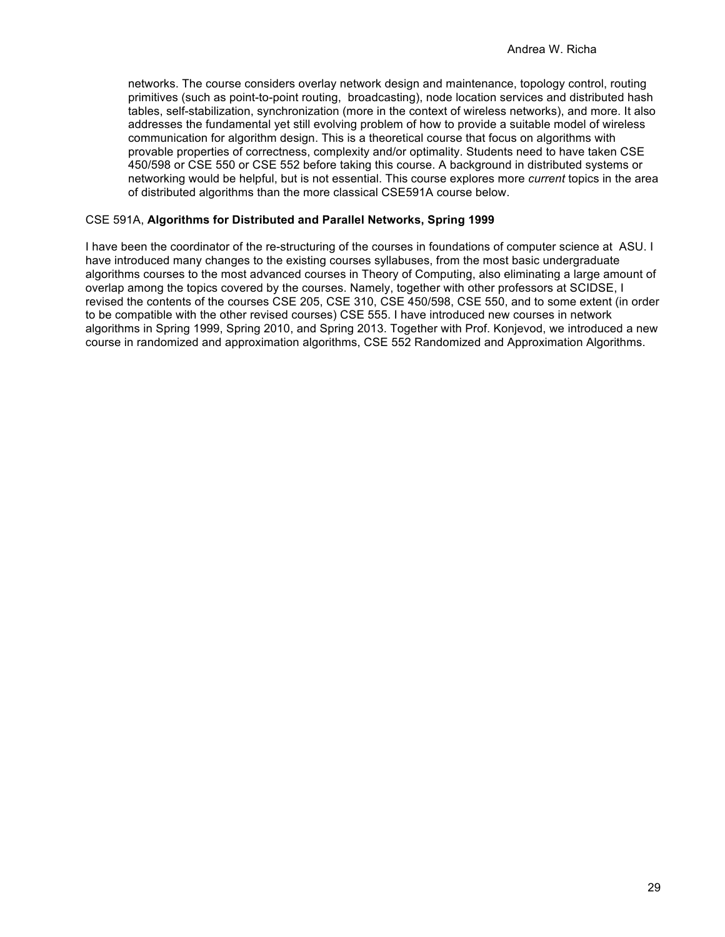networks. The course considers overlay network design and maintenance, topology control, routing primitives (such as point-to-point routing, broadcasting), node location services and distributed hash tables, self-stabilization, synchronization (more in the context of wireless networks), and more. It also addresses the fundamental yet still evolving problem of how to provide a suitable model of wireless communication for algorithm design. This is a theoretical course that focus on algorithms with provable properties of correctness, complexity and/or optimality. Students need to have taken CSE 450/598 or CSE 550 or CSE 552 before taking this course. A background in distributed systems or networking would be helpful, but is not essential. This course explores more *current* topics in the area of distributed algorithms than the more classical CSE591A course below.

#### CSE 591A, **Algorithms for Distributed and Parallel Networks, Spring 1999**

I have been the coordinator of the re-structuring of the courses in foundations of computer science at ASU. I have introduced many changes to the existing courses syllabuses, from the most basic undergraduate algorithms courses to the most advanced courses in Theory of Computing, also eliminating a large amount of overlap among the topics covered by the courses. Namely, together with other professors at SCIDSE, I revised the contents of the courses CSE 205, CSE 310, CSE 450/598, CSE 550, and to some extent (in order to be compatible with the other revised courses) CSE 555. I have introduced new courses in network algorithms in Spring 1999, Spring 2010, and Spring 2013. Together with Prof. Konjevod, we introduced a new course in randomized and approximation algorithms, CSE 552 Randomized and Approximation Algorithms.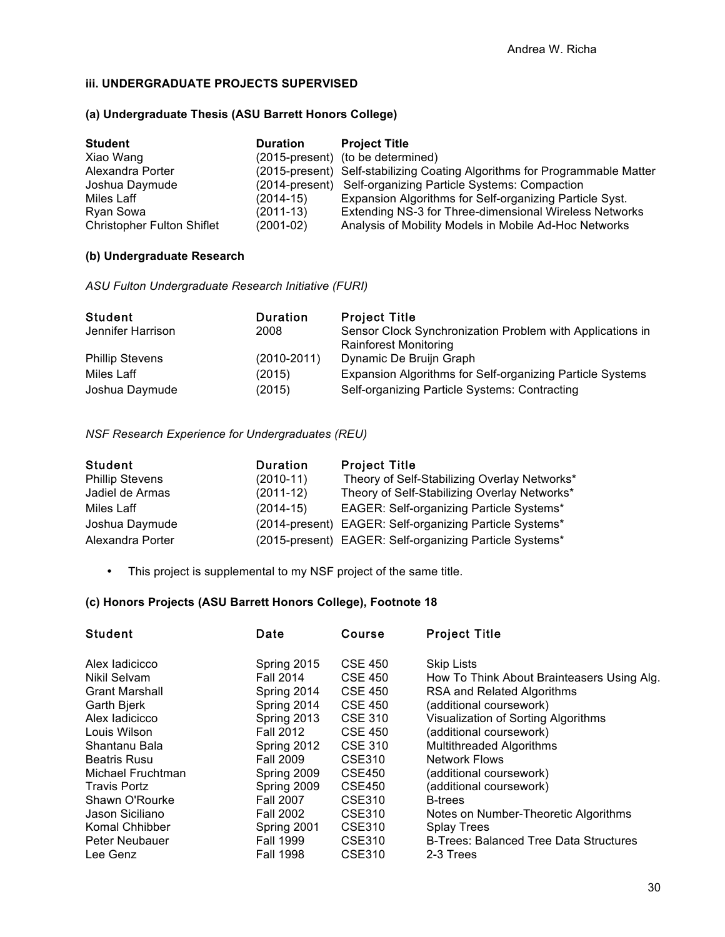## **iii. UNDERGRADUATE PROJECTS SUPERVISED**

### **(a) Undergraduate Thesis (ASU Barrett Honors College)**

| <b>Student</b>                    | <b>Duration</b> | <b>Project Title</b>                                                       |
|-----------------------------------|-----------------|----------------------------------------------------------------------------|
| Xiao Wang                         |                 | (2015-present) (to be determined)                                          |
| Alexandra Porter                  |                 | (2015-present) Self-stabilizing Coating Algorithms for Programmable Matter |
| Joshua Daymude                    |                 | (2014-present) Self-organizing Particle Systems: Compaction                |
| Miles Laff                        | (2014-15)       | Expansion Algorithms for Self-organizing Particle Syst.                    |
| Ryan Sowa                         | $(2011-13)$     | Extending NS-3 for Three-dimensional Wireless Networks                     |
| <b>Christopher Fulton Shiflet</b> | $(2001-02)$     | Analysis of Mobility Models in Mobile Ad-Hoc Networks                      |

## **(b) Undergraduate Research**

*ASU Fulton Undergraduate Research Initiative (FURI)*

| <b>Student</b>         | <b>Duration</b> | <b>Project Title</b>                                      |
|------------------------|-----------------|-----------------------------------------------------------|
| Jennifer Harrison      | 2008            | Sensor Clock Synchronization Problem with Applications in |
| <b>Phillip Stevens</b> | $(2010 - 2011)$ | <b>Rainforest Monitoring</b><br>Dynamic De Bruijn Graph   |
| Miles Laff             | (2015)          | Expansion Algorithms for Self-organizing Particle Systems |
| Joshua Daymude         | (2015)          | Self-organizing Particle Systems: Contracting             |

*NSF Research Experience for Undergraduates (REU)*

| <b>Student</b>         | <b>Duration</b> | <b>Project Title</b>                                    |
|------------------------|-----------------|---------------------------------------------------------|
| <b>Phillip Stevens</b> | $(2010-11)$     | Theory of Self-Stabilizing Overlay Networks*            |
| Jadiel de Armas        | $(2011-12)$     | Theory of Self-Stabilizing Overlay Networks*            |
| Miles Laff             | $(2014-15)$     | <b>EAGER: Self-organizing Particle Systems*</b>         |
| Joshua Daymude         |                 | (2014-present) EAGER: Self-organizing Particle Systems* |
| Alexandra Porter       |                 | (2015-present) EAGER: Self-organizing Particle Systems* |

• This project is supplemental to my NSF project of the same title.

## **(c) Honors Projects (ASU Barrett Honors College), Footnote 18**

| <b>Student</b>        | Date             | <b>Course</b>  | <b>Project Title</b>                          |
|-----------------------|------------------|----------------|-----------------------------------------------|
| Alex ladicicco        | Spring 2015      | <b>CSE 450</b> | <b>Skip Lists</b>                             |
| Nikil Selvam          | <b>Fall 2014</b> | <b>CSE 450</b> | How To Think About Brainteasers Using Alg.    |
| <b>Grant Marshall</b> | Spring 2014      | <b>CSE 450</b> | RSA and Related Algorithms                    |
| Garth Bjerk           | Spring 2014      | <b>CSE 450</b> | (additional coursework)                       |
| Alex ladicicco        | Spring 2013      | <b>CSE 310</b> | Visualization of Sorting Algorithms           |
| Louis Wilson          | <b>Fall 2012</b> | <b>CSE 450</b> | (additional coursework)                       |
| Shantanu Bala         | Spring 2012      | <b>CSE 310</b> | <b>Multithreaded Algorithms</b>               |
| <b>Beatris Rusu</b>   | <b>Fall 2009</b> | <b>CSE310</b>  | <b>Network Flows</b>                          |
| Michael Fruchtman     | Spring 2009      | <b>CSE450</b>  | (additional coursework)                       |
| <b>Travis Portz</b>   | Spring 2009      | <b>CSE450</b>  | (additional coursework)                       |
| Shawn O'Rourke        | <b>Fall 2007</b> | CSE310         | <b>B-trees</b>                                |
| Jason Siciliano       | <b>Fall 2002</b> | CSE310         | Notes on Number-Theoretic Algorithms          |
| Komal Chhibber        | Spring 2001      | <b>CSE310</b>  | <b>Splay Trees</b>                            |
| Peter Neubauer        | <b>Fall 1999</b> | CSE310         | <b>B-Trees: Balanced Tree Data Structures</b> |
| Lee Genz              | <b>Fall 1998</b> | CSE310         | 2-3 Trees                                     |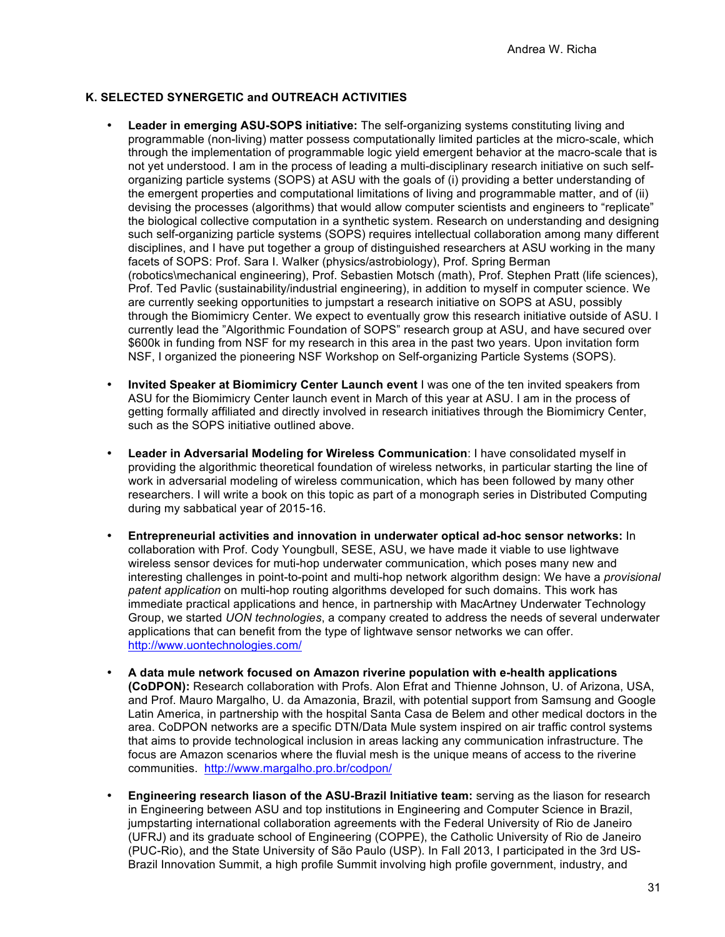## **K. SELECTED SYNERGETIC and OUTREACH ACTIVITIES**

- **Leader in emerging ASU-SOPS initiative:** The self-organizing systems constituting living and programmable (non-living) matter possess computationally limited particles at the micro-scale, which through the implementation of programmable logic yield emergent behavior at the macro-scale that is not yet understood. I am in the process of leading a multi-disciplinary research initiative on such selforganizing particle systems (SOPS) at ASU with the goals of (i) providing a better understanding of the emergent properties and computational limitations of living and programmable matter, and of (ii) devising the processes (algorithms) that would allow computer scientists and engineers to "replicate" the biological collective computation in a synthetic system. Research on understanding and designing such self-organizing particle systems (SOPS) requires intellectual collaboration among many different disciplines, and I have put together a group of distinguished researchers at ASU working in the many facets of SOPS: Prof. Sara I. Walker (physics/astrobiology), Prof. Spring Berman (robotics\mechanical engineering), Prof. Sebastien Motsch (math), Prof. Stephen Pratt (life sciences), Prof. Ted Pavlic (sustainability/industrial engineering), in addition to myself in computer science. We are currently seeking opportunities to jumpstart a research initiative on SOPS at ASU, possibly through the Biomimicry Center. We expect to eventually grow this research initiative outside of ASU. I currently lead the "Algorithmic Foundation of SOPS" research group at ASU, and have secured over \$600k in funding from NSF for my research in this area in the past two years. Upon invitation form NSF, I organized the pioneering NSF Workshop on Self-organizing Particle Systems (SOPS).
- **Invited Speaker at Biomimicry Center Launch event** I was one of the ten invited speakers from ASU for the Biomimicry Center launch event in March of this year at ASU. I am in the process of getting formally affiliated and directly involved in research initiatives through the Biomimicry Center, such as the SOPS initiative outlined above.
- **Leader in Adversarial Modeling for Wireless Communication**: I have consolidated myself in providing the algorithmic theoretical foundation of wireless networks, in particular starting the line of work in adversarial modeling of wireless communication, which has been followed by many other researchers. I will write a book on this topic as part of a monograph series in Distributed Computing during my sabbatical year of 2015-16.
- **Entrepreneurial activities and innovation in underwater optical ad-hoc sensor networks:** In collaboration with Prof. Cody Youngbull, SESE, ASU, we have made it viable to use lightwave wireless sensor devices for muti-hop underwater communication, which poses many new and interesting challenges in point-to-point and multi-hop network algorithm design: We have a *provisional patent application* on multi-hop routing algorithms developed for such domains. This work has immediate practical applications and hence, in partnership with MacArtney Underwater Technology Group, we started *UON technologies*, a company created to address the needs of several underwater applications that can benefit from the type of lightwave sensor networks we can offer. http://www.uontechnologies.com/
- **A data mule network focused on Amazon riverine population with e-health applications (CoDPON):** Research collaboration with Profs. Alon Efrat and Thienne Johnson, U. of Arizona, USA, and Prof. Mauro Margalho, U. da Amazonia, Brazil, with potential support from Samsung and Google Latin America, in partnership with the hospital Santa Casa de Belem and other medical doctors in the area. CoDPON networks are a specific DTN/Data Mule system inspired on air traffic control systems that aims to provide technological inclusion in areas lacking any communication infrastructure. The focus are Amazon scenarios where the fluvial mesh is the unique means of access to the riverine communities. http://www.margalho.pro.br/codpon/
- **Engineering research liason of the ASU-Brazil Initiative team:** serving as the liason for research in Engineering between ASU and top institutions in Engineering and Computer Science in Brazil, jumpstarting international collaboration agreements with the Federal University of Rio de Janeiro (UFRJ) and its graduate school of Engineering (COPPE), the Catholic University of Rio de Janeiro (PUC-Rio), and the State University of São Paulo (USP). In Fall 2013, I participated in the 3rd US-Brazil Innovation Summit, a high profile Summit involving high profile government, industry, and